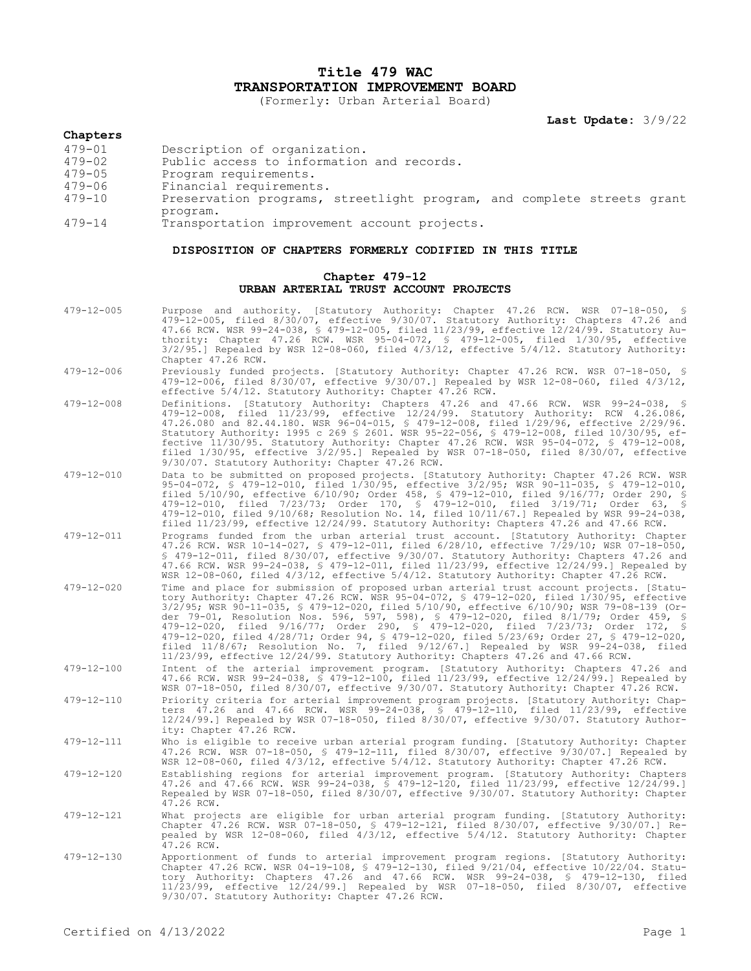# **Title 479 WAC TRANSPORTATION IMPROVEMENT BOARD**

(Formerly: Urban Arterial Board)

**Last Update:** 3/9/22

### **Chapters**

- 479-01 Description of organization.
- 479-02 Public access to information and records.
- 479-05 Program requirements.
- 479-06 Financial requirements.
- Preservation programs, streetlight program, and complete streets grant program.
- 479-14 Transportation improvement account projects.

### **DISPOSITION OF CHAPTERS FORMERLY CODIFIED IN THIS TITLE**

## **Chapter 479-12 URBAN ARTERIAL TRUST ACCOUNT PROJECTS**

- 479-12-005 Purpose and authority. [Statutory Authority: Chapter 47.26 RCW. WSR 07-18-050, § 479-12-005, filed 8/30/07, effective 9/30/07. Statutory Authority: Chapters 47.26 and 47.66 RCW. WSR 99-24-038, § 479-12-005, filed 11/23/99, effective 12/24/99. Statutory Authority: Chapter 47.26 RCW. WSR 95-04-072, § 479-12-005, filed 1/30/95, effective 3/2/95.] Repealed by WSR 12-08-060, filed 4/3/12, effective 5/4/12. Statutory Authority: Chapter 47.26 RCW.
- 479-12-006 Previously funded projects. [Statutory Authority: Chapter 47.26 RCW. WSR 07-18-050, § 479-12-006, filed 8/30/07, effective 9/30/07.] Repealed by WSR 12-08-060, filed 4/3/12, effective 5/4/12. Statutory Authority: Chapter 47.26 RCW.
- 479-12-008 Definitions. [Statutory Authority: Chapters 47.26 and 47.66 RCW. WSR 99-24-038, 479-12-008, filed 11/23/99, effective 12/24/99. Statutory Authority: RCW 4.26.086, 47.26.080 and 82.44.180. WSR 96-04-015, § 479-12-008, filed 1/29/96, effective 2/29/96. Statutory Authority: 1995 c 269 § 2601. WSR 95-22-056, § 479-12-008, filed 10/30/95, effective 11/30/95. Statutory Authority: Chapter 47.26 RCW. WSR 95-04-072, § 479-12-008, filed 1/30/95, effective 3/2/95.] Repealed by WSR 07-18-050, filed 8/30/07, effective 9/30/07. Statutory Authority: Chapter 47.26 RCW.
- 479-12-010 Data to be submitted on proposed projects. [Statutory Authority: Chapter 47.26 RCW. WSR 95-04-072, § 479-12-010, filed 1/30/95, effective 3/2/95; WSR 90-11-035, § 479-12-010, filed 5/10/90, effective 6/10/90; Order 458, § 479-12-010, filed 9/16/77; Order 290, § 479-12-010, filed 7/23/73; Order 170, § 479-12-010, filed 3/19/71; Order 63, § 479-12-010, filed 9/10/68; Resolution No. 14, filed 10/11/67.] Repealed by WSR 99-24-038, filed 11/23/99, effective 12/24/99. Statutory Authority: Chapters 47.26 and 47.66 RCW.
- 479-12-011 Programs funded from the urban arterial trust account. [Statutory Authority: Chapter 47.26 RCW. WSR 10-14-027, § 479-12-011, filed 6/28/10, effective 7/29/10; WSR 07-18-050, § 479-12-011, filed 8/30/07, effective 9/30/07. Statutory Authority: Chapters 47.26 and 47.66 RCW. WSR 99-24-038, § 479-12-011, filed 11/23/99, effective 12/24/99.] Repealed by WSR 12-08-060, filed 4/3/12, effective 5/4/12. Statutory Authority: Chapter 47.26 RCW.
- 479-12-020 Time and place for submission of proposed urban arterial trust account projects. [Statutory Authority: Chapter 47.26 RCW. WSR 95-04-072, § 479-12-020, filed 1/30/95, effective 3/2/95; WSR 90-11-035, § 479-12-020, filed 5/10/90, effective 6/10/90; WSR 79-08-139 (Order 79-01, Resolution Nos. 596, 597, 598), § 479-12-020, filed 8/1/79; Order 459, § 479-12-020, filed 9/16/77; Order 290, § 479-12-020, filed 7/23/73; Order 172, § 479-12-020, filed 4/28/71; Order 94, § 479-12-020, filed 5/23/69; Order 27, § 479-12-020, filed 11/8/67; Resolution No. 7, filed 9/12/67.] Repealed by WSR 99-24-038, filed 11/23/99, effective 12/24/99. Statutory Authority: Chapters 47.26 and 47.66 RCW.
- 479-12-100 Intent of the arterial improvement program. [Statutory Authority: Chapters 47.26 and 47.66 RCW. WSR 99-24-038, § 479-12-100, filed 11/23/99, effective 12/24/99.] Repealed by WSR 07-18-050, filed 8/30/07, effective 9/30/07. Statutory Authority: Chapter 47.26 RCW.
- 479-12-110 Priority criteria for arterial improvement program projects. [Statutory Authority: Chapters 47.26 and 47.66 RCW. WSR 99-24-038, § 479-12-110, filed 11/23/99, effective 12/24/99.] Repealed by WSR 07-18-050, filed 8/30/07, effective 9/30/07. Statutory Authority: Chapter 47.26 RCW.
- 479-12-111 Who is eligible to receive urban arterial program funding. [Statutory Authority: Chapter 47.26 RCW. WSR 07-18-050, § 479-12-111, filed 8/30/07, effective 9/30/07.] Repealed by WSR 12-08-060, filed 4/3/12, effective 5/4/12. Statutory Authority: Chapter 47.26 RCW.
- 479-12-120 Establishing regions for arterial improvement program. [Statutory Authority: Chapters 47.26 and 47.66 RCW. WSR 99-24-038, § 479-12-120, filed 11/23/99, effective 12/24/99.] Repealed by WSR 07-18-050, filed 8/30/07, effective 9/30/07. Statutory Authority: Chapter 47.26 RCW.
- 479-12-121 What projects are eligible for urban arterial program funding. [Statutory Authority: Chapter 47.26 RCW. WSR 07-18-050, § 479-12-121, filed 8/30/07, effective 9/30/07.] Repealed by WSR 12-08-060, filed 4/3/12, effective 5/4/12. Statutory Authority: Chapter  $47.26$  RCW.
- 479-12-130 Apportionment of funds to arterial improvement program regions. [Statutory Authority: Chapter 47.26 RCW. WSR 04-19-108, § 479-12-130, filed 9/21/04, effective 10/22/04. Statutory Authority: Chapters 47.26 and 47.66 RCW. WSR 99-24-038, § 479-12-130, filed 11/23/99, effective 12/24/99.] Repealed by WSR 07-18-050, filed 8/30/07, effective 9/30/07. Statutory Authority: Chapter 47.26 RCW.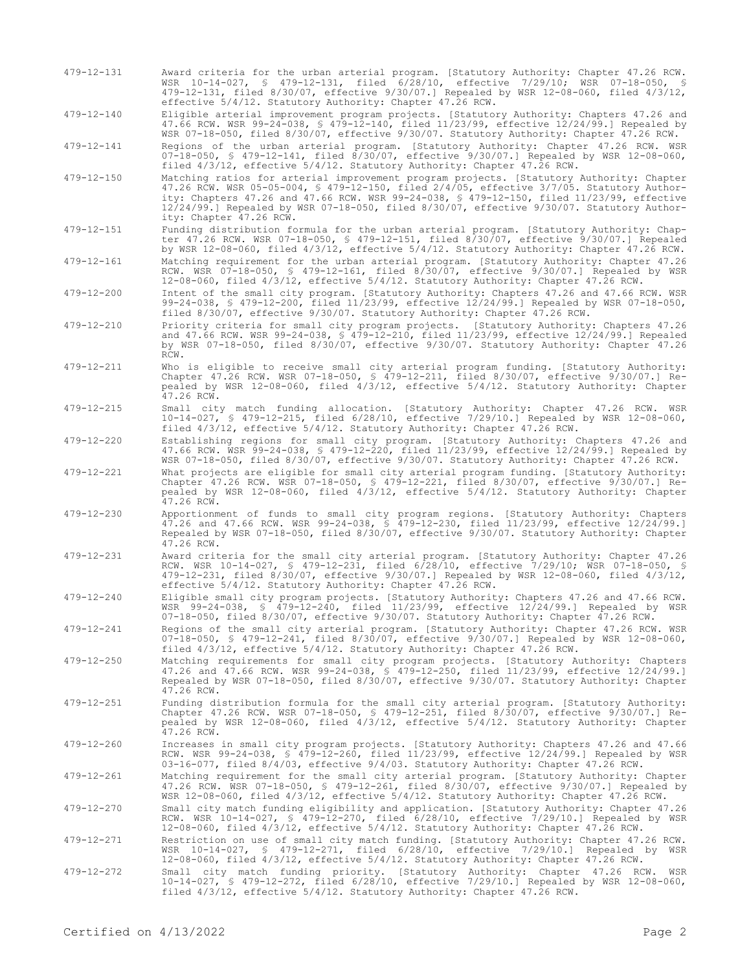479-12-131 Award criteria for the urban arterial program. [Statutory Authority: Chapter 47.26 RCW. WSR 10-14-027, § 479-12-131, filed 6/28/10, effective 7/29/10; WSR 07-18-050, § 479-12-131, filed 8/30/07, effective 9/30/07.] Repealed by WSR 12-08-060, filed 4/3/12, effective 5/4/12. Statutory Authority: Chapter 47.26 RCW.

479-12-140 Eligible arterial improvement program projects. [Statutory Authority: Chapters 47.26 and 47.66 RCW. WSR 99-24-038, § 479-12-140, filed 11/23/99, effective 12/24/99.] Repealed by WSR 07-18-050, filed 8/30/07, effective 9/30/07. Statutory Authority: Chapter 47.26 RCW.

479-12-141 Regions of the urban arterial program. [Statutory Authority: Chapter 47.26 RCW. WSR 07-18-050, § 479-12-141, filed 8/30/07, effective 9/30/07.] Repealed by WSR 12-08-060, filed 4/3/12, effective 5/4/12. Statutory Authority: Chapter 47.26 RCW.

- 479-12-150 Matching ratios for arterial improvement program projects. [Statutory Authority: Chapter 47.26 RCW. WSR 05-05-004, § 479-12-150, filed 2/4/05, effective 3/7/05. Statutory Authority: Chapters 47.26 and 47.66 RCW. WSR 99-24-038, § 479-12-150, filed 11/23/99, effective 12/24/99.] Repealed by WSR 07-18-050, filed 8/30/07, effective 9/30/07. Statutory Authority: Chapter 47.26 RCW.
- 479-12-151 Funding distribution formula for the urban arterial program. [Statutory Authority: Chapter 47.26 RCW. WSR 07-18-050, § 479-12-151, filed 8/30/07, effective 9/30/07.] Repealed by WSR 12-08-060, filed 4/3/12, effective 5/4/12. Statutory Authority: Chapter 47.26 RCW.
- 479-12-161 Matching requirement for the urban arterial program. [Statutory Authority: Chapter 47.26 RCW. WSR 07-18-050, § 479-12-161, filed 8/30/07, effective 9/30/07.] Repealed by WSR 12-08-060, filed 4/3/12, effective 5/4/12. Statutory Authority: Chapter 47.26 RCW.
- 479-12-200 Intent of the small city program. [Statutory Authority: Chapters 47.26 and 47.66 RCW. WSR 99-24-038, § 479-12-200, filed 11/23/99, effective 12/24/99.] Repealed by WSR 07-18-050, filed 8/30/07, effective 9/30/07. Statutory Authority: Chapter 47.26 RCW.
- 479-12-210 Priority criteria for small city program projects. [Statutory Authority: Chapters 47.26 and 47.66 RCW. WSR 99-24-038, § 479-12-210, filed 11/23/99, effective 12/24/99.] Repealed by WSR 07-18-050, filed 8/30/07, effective 9/30/07. Statutory Authority: Chapter 47.26 RCW.
- 479-12-211 Who is eligible to receive small city arterial program funding. [Statutory Authority: Chapter 47.26 RCW. WSR 07-18-050, § 479-12-211, filed 8/30/07, effective 9/30/07.] Repealed by WSR 12-08-060, filed 4/3/12, effective 5/4/12. Statutory Authority: Chapter .<br>47.26 RCW.
- 479-12-215 Small city match funding allocation. [Statutory Authority: Chapter 47.26 RCW. WSR 10-14-027, § 479-12-215, filed 6/28/10, effective 7/29/10.] Repealed by WSR 12-08-060, filed 4/3/12, effective 5/4/12. Statutory Authority: Chapter 47.26 RCW.

479-12-220 Establishing regions for small city program. [Statutory Authority: Chapters 47.26 and 47.66 RCW. WSR 99-24-038, § 479-12-220, filed 11/23/99, effective 12/24/99.] Repealed by WSR 07-18-050, filed 8/30/07, effective 9/30/07. Statutory Authority: Chapter 47.26 RCW.

- 479-12-221 What projects are eligible for small city arterial program funding. [Statutory Authority: Chapter 47.26 RCW. WSR 07-18-050, § 479-12-221, filed 8/30/07, effective 9/30/07.] Repealed by WSR 12-08-060, filed 4/3/12, effective 5/4/12. Statutory Authority: Chapter 47.26 RCW.
- 479-12-230 Apportionment of funds to small city program regions. [Statutory Authority: Chapters 47.26 and 47.66 RCW. WSR 99-24-038, § 479-12-230, filed 11/23/99, effective 12/24/99.] Repealed by WSR 07-18-050, filed 8/30/07, effective 9/30/07. Statutory Authority: Chapter 47.26 RCW.
- 479-12-231 Award criteria for the small city arterial program. [Statutory Authority: Chapter 47.26 RCW. WSR 10-14-027, § 479-12-231, filed 6/28/10, effective 7/29/10; WSR 07-18-050, § 479-12-231, filed 8/30/07, effective 9/30/07.] Repealed by WSR 12-08-060, filed 4/3/12, effective 5/4/12. Statutory Authority: Chapter 47.26 RCW.
- 479-12-240 Eligible small city program projects. [Statutory Authority: Chapters 47.26 and 47.66 RCW. WSR 99-24-038, § 479-12-240, filed 11/23/99, effective 12/24/99.] Repealed by WSR 07-18-050, filed 8/30/07, effective 9/30/07. Statutory Authority: Chapter 47.26 RCW.
- 479-12-241 Regions of the small city arterial program. [Statutory Authority: Chapter 47.26 RCW. WSR 07-18-050, § 479-12-241, filed 8/30/07, effective 9/30/07.] Repealed by WSR 12-08-060, filed 4/3/12, effective 5/4/12. Statutory Authority: Chapter 47.26 RCW.
- 479-12-250 Matching requirements for small city program projects. [Statutory Authority: Chapters 47.26 and 47.66 RCW. WSR 99-24-038, § 479-12-250, filed 11/23/99, effective 12/24/99.] Repealed by WSR 07-18-050, filed 8/30/07, effective 9/30/07. Statutory Authority: Chapter 47.26 RCW.
- 479-12-251 Funding distribution formula for the small city arterial program. [Statutory Authority: Chapter 47.26 RCW. WSR 07-18-050, § 479-12-251, filed 8/30/07, effective 9/30/07.] Repealed by WSR 12-08-060, filed 4/3/12, effective 5/4/12. Statutory Authority: Chapter 47.26 RCW.
- 479-12-260 Increases in small city program projects. [Statutory Authority: Chapters 47.26 and 47.66 RCW. WSR 99-24-038, § 479-12-260, filed 11/23/99, effective 12/24/99.] Repealed by WSR 03-16-077, filed 8/4/03, effective 9/4/03. Statutory Authority: Chapter 47.26 RCW.

479-12-261 Matching requirement for the small city arterial program. [Statutory Authority: Chapter 47.26 RCW. WSR 07-18-050, § 479-12-261, filed 8/30/07, effective 9/30/07.] Repealed by WSR 12-08-060, filed 4/3/12, effective 5/4/12. Statutory Authority: Chapter 47.26 RCW.

- 479-12-270 Small city match funding eligibility and application. [Statutory Authority: Chapter 47.26<br>RCW. WSR 10-14-027, S 479-12-270, filed 6/28/10, effective 7/29/10.] Repealed by WSR<br>12-08-060, filed 4/3/12, effective 5
- 479-12-271 Restriction on use of small city match funding. [Statutory Authority: Chapter 47.26 RCW. WSR 10-14-027, § 479-12-271, filed 6/28/10, effective 7/29/10.] Repealed by WSR 12-08-060, filed 4/3/12, effective 5/4/12. Statutory Authority: Chapter 47.26 RCW.
- 479-12-272 Small city match funding priority. [Statutory Authority: Chapter 47.26 RCW. WSR 10-14-027, § 479-12-272, filed 6/28/10, effective 7/29/10.] Repealed by WSR 12-08-060, filed 4/3/12, effective 5/4/12. Statutory Authority: Chapter 47.26 RCW.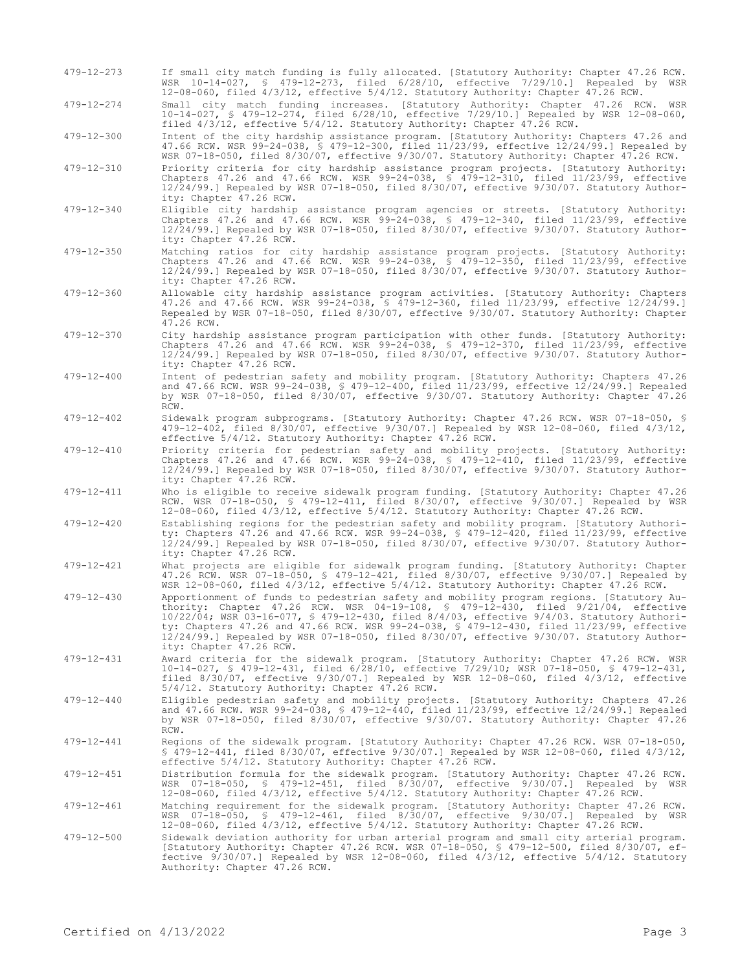479-12-273 If small city match funding is fully allocated. [Statutory Authority: Chapter 47.26 RCW. WSR 10-14-027, § 479-12-273, filed 6/28/10, effective 7/29/10.] Repealed by WSR 12-08-060, filed 4/3/12, effective 5/4/12. Statutory Authority: Chapter 47.26 RCW.

479-12-274 Small city match funding increases. [Statutory Authority: Chapter 47.26 RCW. WSR 10-14-027, § 479-12-274, filed 6/28/10, effective 7/29/10.] Repealed by WSR 12-08-060, filed 4/3/12, effective 5/4/12. Statutory Authority: Chapter 47.26 RCW.

479-12-300 Intent of the city hardship assistance program. [Statutory Authority: Chapters 47.26 and 47.66 RCW. WSR 99-24-038, § 479-12-300, filed 11/23/99, effective 12/24/99.] Repealed by WSR 07-18-050, filed 8/30/07, effective 9/30/07. Statutory Authority: Chapter 47.26 RCW.

479-12-310 Priority criteria for city hardship assistance program projects. [Statutory Authority: Chapters 47.26 and 47.66 RCW. WSR 99-24-038, § 479-12-310, filed 11/23/99, effective 12/24/99.] Repealed by WSR 07-18-050, filed 8/30/07, effective 9/30/07. Statutory Authority: Chapter 47.26 RCW.

- 479-12-340 Eligible city hardship assistance program agencies or streets. [Statutory Authority: Chapters 47.26 and 47.66 RCW. WSR 99-24-038, § 479-12-340, filed 11/23/99, effective 12/24/99.] Repealed by WSR 07-18-050, filed 8/30/07, effective 9/30/07. Statutory Authority: Chapter 47.26 RCW.
- 479-12-350 Matching ratios for city hardship assistance program projects. [Statutory Authority: Chapters 47.26 and 47.66 RCW. WSR 99-24-038, § 479-12-350, filed 11/23/99, effective 12/24/99.] Repealed by WSR 07-18-050, filed 8/30/07, effective 9/30/07. Statutory Authority: Chapter 47.26 RCW.
- 479-12-360 Allowable city hardship assistance program activities. [Statutory Authority: Chapters 47.26 and 47.66 RCW. WSR 99-24-038, § 479-12-360, filed 11/23/99, effective 12/24/99.] Repealed by WSR 07-18-050, filed 8/30/07, effective 9/30/07. Statutory Authority: Chapter 47.26 RCW.
- 479-12-370 City hardship assistance program participation with other funds. [Statutory Authority: Chapters 47.26 and 47.66 RCW. WSR 99-24-038, § 479-12-370, filed 11/23/99, effective 12/24/99.] Repealed by WSR 07-18-050, filed 8/30/07, effective 9/30/07. Statutory Authority: Chapter 47.26 RCW.
- 479-12-400 Intent of pedestrian safety and mobility program. [Statutory Authority: Chapters 47.26 and 47.66 RCW. WSR 99-24-038, § 479-12-400, filed 11/23/99, effective 12/24/99.] Repealed by WSR 07-18-050, filed 8/30/07, effective 9/30/07. Statutory Authority: Chapter 47.26 RCW.
- 479-12-402 Sidewalk program subprograms. [Statutory Authority: Chapter 47.26 RCW. WSR 07-18-050, § 479-12-402, filed 8/30/07, effective 9/30/07.] Repealed by WSR 12-08-060, filed 4/3/12, effective 5/4/12. Statutory Authority: Chapter 47.26 RCW.
- 479-12-410 Priority criteria for pedestrian safety and mobility projects. [Statutory Authority: Chapters 47.26 and 47.66 RCW. WSR 99-24-038, § 479-12-410, filed 11/23/99, effective 12/24/99.] Repealed by WSR 07-18-050, filed 8/30/07, effective 9/30/07. Statutory Authority: Chapter 47.26 RCW.
- 479-12-411 Who is eligible to receive sidewalk program funding. [Statutory Authority: Chapter 47.26 RCW. WSR 07-18-050, § 479-12-411, filed 8/30/07, effective 9/30/07.] Repealed by WSR 12-08-060, filed 4/3/12, effective 5/4/12. Statutory Authority: Chapter 47.26 RCW.
- 479-12-420 Establishing regions for the pedestrian safety and mobility program. [Statutory Authority: Chapters 47.26 and 47.66 RCW. WSR 99-24-038, § 479-12-420, filed 11/23/99, effective 12/24/99.] Repealed by WSR 07-18-050, filed 8/30/07, effective 9/30/07. Statutory Authority: Chapter 47.26 RCW.
- 479-12-421 What projects are eligible for sidewalk program funding. [Statutory Authority: Chapter 47.26 RCW. WSR 07-18-050, § 479-12-421, filed 8/30/07, effective 9/30/07.] Repealed by WSR 12-08-060, filed 4/3/12, effective 5/4/12. Statutory Authority: Chapter 47.26 RCW.
- 479-12-430 Apportionment of funds to pedestrian safety and mobility program regions. [Statutory Authority: Chapter 47.26 RCW. WSR 04-19-108, § 479-12-430, filed 9/21/04, effective 10/22/04; WSR 03-16-077, § 479-12-430, filed 8/4/03, effective 9/4/03. Statutory Authority: Chapters 47.26 and 47.66 RCW. WSR 99-24-038, § 479-12-430, filed 11/23/99, effective 12/24/99.] Repealed by WSR 07-18-050, filed 8/30/07, effective 9/30/07. Statutory Authority: Chapter 47.26 RCW.
- 479-12-431 Award criteria for the sidewalk program. [Statutory Authority: Chapter 47.26 RCW. WSR 10-14-027, § 479-12-431, filed 6/28/10, effective 7/29/10; WSR 07-18-050, § 479-12-431, filed 8/30/07, effective 9/30/07.] Repealed by WSR 12-08-060, filed 4/3/12, effective 5/4/12. Statutory Authority: Chapter 47.26 RCW.
- 479-12-440 Eligible pedestrian safety and mobility projects. [Statutory Authority: Chapters 47.26 and 47.66 RCW. WSR 99-24-038, § 479-12-440, filed 11/23/99, effective 12/24/99.] Repealed by WSR 07-18-050, filed 8/30/07, effective 9/30/07. Statutory Authority: Chapter 47.26 RCW.
- 479-12-441 Regions of the sidewalk program. [Statutory Authority: Chapter 47.26 RCW. WSR 07-18-050, § 479-12-441, filed 8/30/07, effective 9/30/07.] Repealed by WSR 12-08-060, filed 4/3/12, effective 5/4/12. Statutory Authority: Chapter 47.26 RCW.
- 479-12-451 Distribution formula for the sidewalk program. [Statutory Authority: Chapter 47.26 RCW. WSR 07-18-050, § 479-12-451, filed 8/30/07, effective 9/30/07.] Repealed by WSR 12-08-060, filed 4/3/12, effective 5/4/12. Statutory Authority: Chapter 47.26 RCW.
- Allong requirement for the sidewalk program. [Statutory Authority: Chapter 47.26 RCW.<br>WSR 07-18-050, § 479-12-461, filed 8/30/07, effective 9/30/07.] Repealed by WSR<br>12-08-060, filed 4/3/12, effective 5/4/12. Statutory Aut
- 479-12-500 Sidewalk deviation authority for urban arterial program and small city arterial program. [Statutory Authority: Chapter 47.26 RCW. WSR 07-18-050, § 479-12-500, filed 8/30/07, effective 9/30/07.] Repealed by WSR 12-08-060, filed 4/3/12, effective 5/4/12. Statutory Authority: Chapter 47.26 RCW.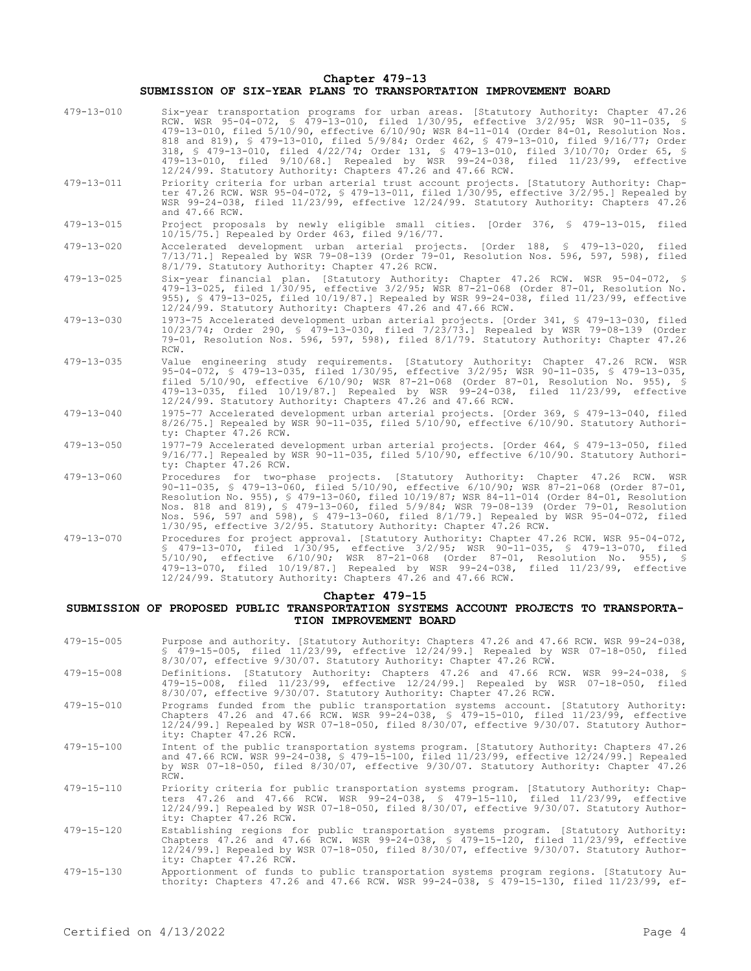**Chapter 479-13**

#### **SUBMISSION OF SIX-YEAR PLANS TO TRANSPORTATION IMPROVEMENT BOARD**

| $479 - 13 - 010$ | Six-year transportation programs for urban areas. [Statutory Authority: Chapter 47.26<br>RCW. WSR 95-04-072, § 479-13-010, filed 1/30/95, effective 3/2/95; WSR 90-11-035, §                                                                                                                                                                                                                                                                                                                                                   |  |
|------------------|--------------------------------------------------------------------------------------------------------------------------------------------------------------------------------------------------------------------------------------------------------------------------------------------------------------------------------------------------------------------------------------------------------------------------------------------------------------------------------------------------------------------------------|--|
|                  | 479-13-010, filed 5/10/90, effective 6/10/90; WSR 84-11-014 (Order 84-01, Resolution Nos.<br>818 and 819), § 479-13-010, filed 5/9/84; Order 462, § 479-13-010, filed 9/16/77; Order<br>318, § 479-13-010, filed 4/22/74; Order 131, § 479-13-010, filed 3/10/70; Order 65, §<br>479-13-010, filed 9/10/68.1 Repealed by WSR 99-24-038, filed 11/23/99, effective<br>12/24/99. Statutory Authority: Chapters 47.26 and 47.66 RCW.                                                                                              |  |
| 479-13-011       | Priority criteria for urban arterial trust account projects. [Statutory Authority: Chap-<br>ter 47.26 RCW. WSR 95-04-072, § 479-13-011, filed 1/30/95, effective 3/2/95.] Repealed by<br>WSR 99-24-038, filed 11/23/99, effective 12/24/99. Statutory Authority: Chapters 47.26<br>and 47.66 RCW.                                                                                                                                                                                                                              |  |
| 479-13-015       | Project proposals by newly eligible small cities. [Order 376, § 479-13-015, filed<br>$10/15/75.$ Repealed by Order 463, filed $9/16/77.$                                                                                                                                                                                                                                                                                                                                                                                       |  |
| 479-13-020       | Accelerated development urban arterial projects. [Order 188, § 479-13-020, filed<br>7/13/71.] Repealed by WSR 79-08-139 (Order 79-01, Resolution Nos. 596, 597, 598), filed<br>8/1/79. Statutory Authority: Chapter 47.26 RCW.                                                                                                                                                                                                                                                                                                 |  |
| $479 - 13 - 025$ | Six-year financial plan. [Statutory Authority: Chapter 47.26 RCW. WSR 95-04-072, \$<br>479-13-025, filed 1/30/95, effective 3/2/95; WSR 87-21-068 (Order 87-01, Resolution No.<br>955), § 479-13-025, filed 10/19/87.] Repealed by WSR 99-24-038, filed 11/23/99, effective<br>12/24/99. Statutory Authority: Chapters 47.26 and 47.66 RCW.                                                                                                                                                                                    |  |
| 479-13-030       | 1973-75 Accelerated development urban arterial projects. [Order 341, § 479-13-030, filed<br>10/23/74; Order 290, § 479-13-030, filed 7/23/73.] Repealed by WSR 79-08-139 (Order<br>79-01, Resolution Nos. 596, 597, 598), filed 8/1/79. Statutory Authority: Chapter 47.26<br>RCW.                                                                                                                                                                                                                                             |  |
| $479 - 13 - 035$ | Value engineering study requirements. [Statutory Authority: Chapter 47.26 RCW. WSR<br>95-04-072, § 479-13-035, filed 1/30/95, effective 3/2/95; WSR 90-11-035, § 479-13-035,<br>filed 5/10/90, effective 6/10/90; WSR 87-21-068 (Order 87-01, Resolution No. 955), §<br>479-13-035, filed 10/19/87.] Repealed by WSR 99-24-038, filed 11/23/99, effective<br>12/24/99. Statutory Authority: Chapters 47.26 and 47.66 RCW.                                                                                                      |  |
| $479 - 13 - 040$ | 1975-77 Accelerated development urban arterial projects. [Order 369, § 479-13-040, filed<br>$8/26/75$ .] Repealed by WSR 90-11-035, filed 5/10/90, effective 6/10/90. Statutory Authori-<br>ty: Chapter 47.26 RCW.                                                                                                                                                                                                                                                                                                             |  |
| 479-13-050       | 1977-79 Accelerated development urban arterial projects. [Order 464, § 479-13-050, filed<br>$9/16/77.$ Repealed by WSR 90-11-035, filed 5/10/90, effective 6/10/90. Statutory Authori-<br>ty: Chapter 47.26 RCW.                                                                                                                                                                                                                                                                                                               |  |
| 479-13-060       | Procedures for two-phase projects. [Statutory Authority: Chapter 47.26 RCW. WSR<br>90-11-035, § 479-13-060, filed 5/10/90, effective 6/10/90; WSR 87-21-068 (Order 87-01,<br>Resolution No. 955), § 479-13-060, filed 10/19/87; WSR 84-11-014 (Order 84-01, Resolution<br>Nos. 818 and 819), § 479-13-060, filed 5/9/84; WSR 79-08-139 (Order 79-01, Resolution<br>Nos. 596, 597 and 598), § 479-13-060, filed 8/1/79.] Repealed by WSR 95-04-072, filed<br>1/30/95, effective 3/2/95. Statutory Authority: Chapter 47.26 RCW. |  |
| 479-13-070       | Procedures for project approval. [Statutory Authority: Chapter 47.26 RCW. WSR 95-04-072,<br>\$ 479-13-070, filed 1/30/95, effective 3/2/95; WSR 90-11-035, \$ 479-13-070, filed<br>5/10/90, effective 6/10/90; WSR 87-21-068 (Order 87-01, Resolution No. 955), \$<br>479-13-070, filed 10/19/87.1 Repealed by WSR 99-24-038, filed 11/23/99, effective<br>12/24/99. Statutory Authority: Chapters 47.26 and 47.66 RCW.                                                                                                        |  |
| Chapter 479-15   |                                                                                                                                                                                                                                                                                                                                                                                                                                                                                                                                |  |

## **SUBMISSION OF PROPOSED PUBLIC TRANSPORTATION SYSTEMS ACCOUNT PROJECTS TO TRANSPORTA-TION IMPROVEMENT BOARD**

- 479-15-005 Purpose and authority. [Statutory Authority: Chapters 47.26 and 47.66 RCW. WSR 99-24-038, § 479-15-005, filed 11/23/99, effective 12/24/99.] Repealed by WSR 07-18-050, filed 8/30/07, effective 9/30/07. Statutory Authority: Chapter 47.26 RCW.
- 479-15-008 Definitions. [Statutory Authority: Chapters 47.26 and 47.66 RCW. WSR 99-24-038, § 479-15-008, filed 11/23/99, effective 12/24/99.] Repealed by WSR 07-18-050, filed 8/30/07, effective 9/30/07. Statutory Authority: Chapter 47.26 RCW.
- 479-15-010 Programs funded from the public transportation systems account. [Statutory Authority: Chapters 47.26 and 47.66 RCW. WSR 99-24-038, § 479-15-010, filed 11/23/99, effective 12/24/99.] Repealed by WSR 07-18-050, filed 8/30/07, effective 9/30/07. Statutory Authority: Chapter 47.26 RCW.
- 479-15-100 Intent of the public transportation systems program. [Statutory Authority: Chapters 47.26 and 47.66 RCW. WSR 99-24-038, § 479-15-100, filed 11/23/99, effective 12/24/99.] Repealed by WSR 07-18-050, filed 8/30/07, effective 9/30/07. Statutory Authority: Chapter 47.26 RCW.
- 479-15-110 Priority criteria for public transportation systems program. [Statutory Authority: Chapters 47.26 and 47.66 RCW. WSR 99-24-038, § 479-15-110, filed 11/23/99, effective 12/24/99.] Repealed by WSR 07-18-050, filed 8/30/07, effective 9/30/07. Statutory Authority: Chapter 47.26 RCW.
- 479-15-120 Establishing regions for public transportation systems program. [Statutory Authority: Chapters 47.26 and 47.66 RCW. WSR 99-24-038, § 479-15-120, filed 11/23/99, effective 12/24/99.] Repealed by WSR 07-18-050, filed 8/30/07, effective 9/30/07. Statutory Authority: Chapter 47.26 RCW.
- 479-15-130 Apportionment of funds to public transportation systems program regions. [Statutory Au-thority: Chapters 47.26 and 47.66 RCW. WSR 99-24-038, § 479-15-130, filed 11/23/99, ef-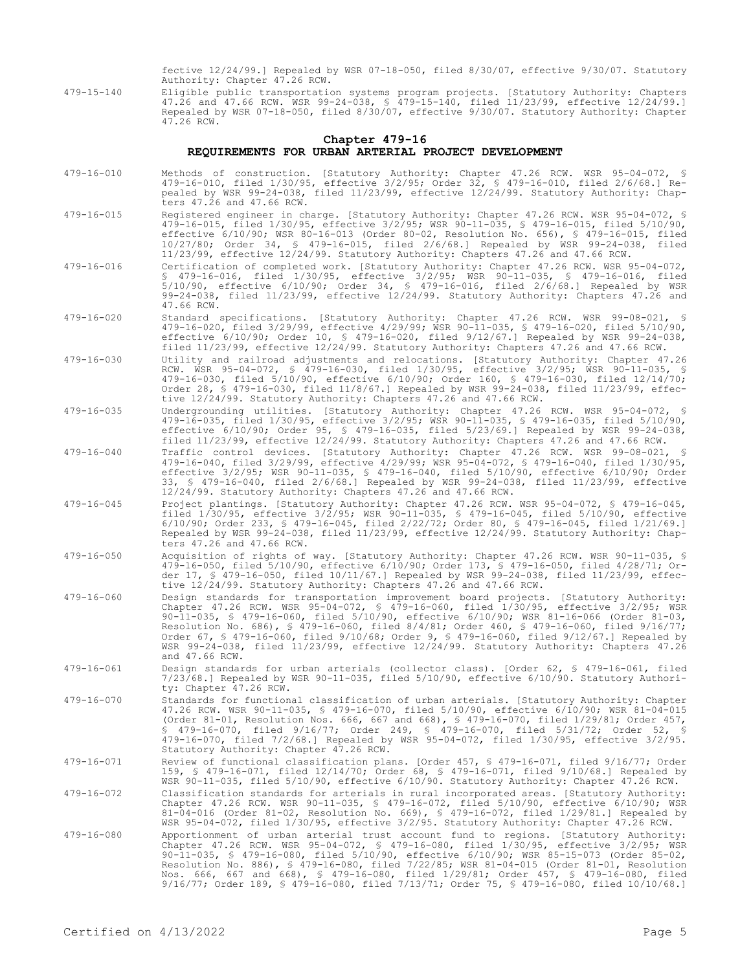fective 12/24/99.] Repealed by WSR 07-18-050, filed 8/30/07, effective 9/30/07. Statutory Authority: Chapter 47.26 RCW.

479-15-140 Eligible public transportation systems program projects. [Statutory Authority: Chapters 47.26 and 47.66 RCW. WSR 99-24-038, § 479-15-140, filed 11/23/99, effective 12/24/99.] Repealed by WSR 07-18-050, filed 8/30/07, effective 9/30/07. Statutory Authority: Chapter 47.26 RCW.

## **Chapter 479-16 REQUIREMENTS FOR URBAN ARTERIAL PROJECT DEVELOPMENT**

- 479-16-010 Methods of construction. [Statutory Authority: Chapter 47.26 RCW. WSR 95-04-072, § 479-16-010, filed 1/30/95, effective 3/2/95; Order 32, § 479-16-010, filed 2/6/68.] Repealed by WSR 99-24-038, filed 11/23/99, effective 12/24/99. Statutory Authority: Chapters  $47.\overline{26}$  and  $47.66$  RCW.
- 479-16-015 Registered engineer in charge. [Statutory Authority: Chapter 47.26 RCW. WSR 95-04-072, § 479-16-015, filed 1/30/95, effective 3/2/95; WSR 90-11-035, § 479-16-015, filed 5/10/90, effective 6/10/90; WSR 80-16-013 (Order 80-02, Resolution No. 656), § 479-16-015, filed 10/27/80; Order 34, § 479-16-015, filed 2/6/68.] Repealed by WSR 99-24-038, filed 11/23/99, effective 12/24/99. Statutory Authority: Chapters 47.26 and 47.66 RCW.
- 479-16-016 Certification of completed work. [Statutory Authority: Chapter 47.26 RCW. WSR 95-04-072, § 479-16-016, filed 1/30/95, effective 3/2/95; WSR 90-11-035, § 479-16-016, filed 5/10/90, effective 6/10/90; Order 34, § 479-16-016, filed 2/6/68.] Repealed by WSR 99-24-038, filed 11/23/99, effective 12/24/99. Statutory Authority: Chapters 47.26 and 47.66 RCW.
- 479-16-020 Standard specifications. [Statutory Authority: Chapter 47.26 RCW. WSR 99-08-021, § 479-16-020, filed 3/29/99, effective 4/29/99; WSR 90-11-035, § 479-16-020, filed 5/10/90, effective 6/10/90; Order 10, § 479-16-020, filed 9/12/67.] Repealed by WSR 99-24-038, filed 11/23/99, effective 12/24/99. Statutory Authority: Chapters 47.26 and 47.66 RCW.
- 479-16-030 Utility and railroad adjustments and relocations. [Statutory Authority: Chapter 47.26 RCW. WSR 95-04-072, § 479-16-030, filed 1/30/95, effective 3/2/95; WSR 90-11-035, § 479-16-030, filed 5/10/90, effective 6/10/90; Order 160, § 479-16-030, filed 12/14/70; Order 28, § 479-16-030, filed 11/8/67.] Repealed by WSR 99-24-038, filed 11/23/99, effective 12/24/99. Statutory Authority: Chapters 47.26 and 47.66 RCW.
- 479-16-035 Undergrounding utilities. [Statutory Authority: Chapter 47.26 RCW. WSR 95-04-072, § 479-16-035, filed 1/30/95, effective 3/2/95; WSR 90-11-035, § 479-16-035, filed 5/10/90, effective 6/10/90; Order 95, § 479-16-035, filed 5/23/69.] Repealed by WSR 99-24-038, filed 11/23/99, effective 12/24/99. Statutory Authority: Chapters 47.26 and 47.66 RCW.
- 479-16-040 Traffic control devices. [Statutory Authority: Chapter 47.26 RCW. WSR 99-08-021, § 479-16-040, filed 3/29/99, effective 4/29/99; WSR 95-04-072, § 479-16-040, filed 1/30/95, effective 3/2/95; WSR 90-11-035, § 479-16-040, filed 5/10/90, effective 6/10/90; Order 33, § 479-16-040, filed 2/6/68.] Repealed by WSR 99-24-038, filed 11/23/99, effective 12/24/99. Statutory Authority: Chapters 47.26 and 47.66 RCW.
- 479-16-045 Project plantings. [Statutory Authority: Chapter 47.26 RCW. WSR 95-04-072, § 479-16-045, filed 1/30/95, effective 3/2/95; WSR 90-11-035, § 479-16-045, filed 5/10/90, effective 6/10/90; Order 233, § 479-16-045, filed 2/22/72; Order 80, § 479-16-045, filed 1/21/69.] Repealed by WSR 99-24-038, filed 11/23/99, effective 12/24/99. Statutory Authority: Chapters 47.26 and 47.66 RCW.
- 479-16-050 Acquisition of rights of way. [Statutory Authority: Chapter 47.26 RCW. WSR 90-11-035, § 479-16-050, filed 5/10/90, effective 6/10/90; Order 173, § 479-16-050, filed 4/28/71; Order 17, § 479-16-050, filed 10/11/67.] Repealed by WSR 99-24-038, filed 11/23/99, effective 12/24/99. Statutory Authority: Chapters 47.26 and 47.66 RCW.
- 479-16-060 Design standards for transportation improvement board projects. [Statutory Authority: Chapter 47.26 RCW. WSR 95-04-072, § 479-16-060, filed 1/30/95, effective 3/2/95; WSR 90-11-035, § 479-16-060, filed 5/10/90, effective 6/10/90; WSR 81-16-066 (Order 81-03, Resolution No. 686), § 479-16-060, filed 8/4/81; Order 460, § 479-16-060, filed 9/16/77; Order 67, § 479-16-060, filed 9/10/68; Order 9, § 479-16-060, filed 9/12/67.] Repealed by WSR 99-24-038, filed 11/23/99, effective 12/24/99. Statutory Authority: Chapters 47.26 and 47.66 RCW.
- 479-16-061 Design standards for urban arterials (collector class). [Order 62, § 479-16-061, filed 7/23/68.] Repealed by WSR 90-11-035, filed 5/10/90, effective 6/10/90. Statutory Authority: Chapter 47.26 RCW.
- 479-16-070 Standards for functional classification of urban arterials. [Statutory Authority: Chapter 47.26 RCW. WSR 90-11-035, § 479-16-070, filed 5/10/90, effective 6/10/90; WSR 81-04-015 (Order 81-01, Resolution Nos. 666, 667 and 668), § 479-16-070, filed 1/29/81; Order 457, § 479-16-070, filed 9/16/77; Order 249, § 479-16-070, filed 5/31/72; Order 52, § 479-16-070, filed 7/2/68.] Repealed by WSR 95-04-072, filed 1/30/95, effective 3/2/95. Statutory Authority: Chapter 47.26 RCW.

479-16-071 Review of functional classification plans. [Order 457, § 479-16-071, filed 9/16/77; Order 159, § 479-16-071, filed 12/14/70; Order 68, § 479-16-071, filed 9/10/68.] Repealed by WSR 90-11-035, filed 5/10/90, effective 6/10/90. Statutory Authority: Chapter 47.26 RCW.

- 479-16-072 Classification standards for arterials in rural incorporated areas. [Statutory Authority: Chapter 47.26 RCW. WSR 90-11-035, § 479-16-072, filed 5/10/90, effective 6/10/90; WSR<br>81-04-016 (Order 81-02, Resolution No. 669), § 479-16-072, filed 1/29/81.] Repealed by<br>WSR 95-04-072, filed 1/30/95, effective 3/2/95. S
- 479-16-080 Apportionment of urban arterial trust account fund to regions. [Statutory Authority: Chapter 47.26 RCW. WSR 95-04-072, § 479-16-080, filed 1/30/95, effective 3/2/95; WSR 90-11-035, § 479-16-080, filed 5/10/90, effective 6/10/90; WSR 85-15-073 (Order 85-02, Resolution No. 886), § 479-16-080, filed 7/22/85; WSR 81-04-015 (Order 81-01, Resolution Nos. 666, 667 and 668), § 479-16-080, filed 1/29/81; Order 457, § 479-16-080, filed 9/16/77; Order 189, § 479-16-080, filed 7/13/71; Order 75, § 479-16-080, filed 10/10/68.]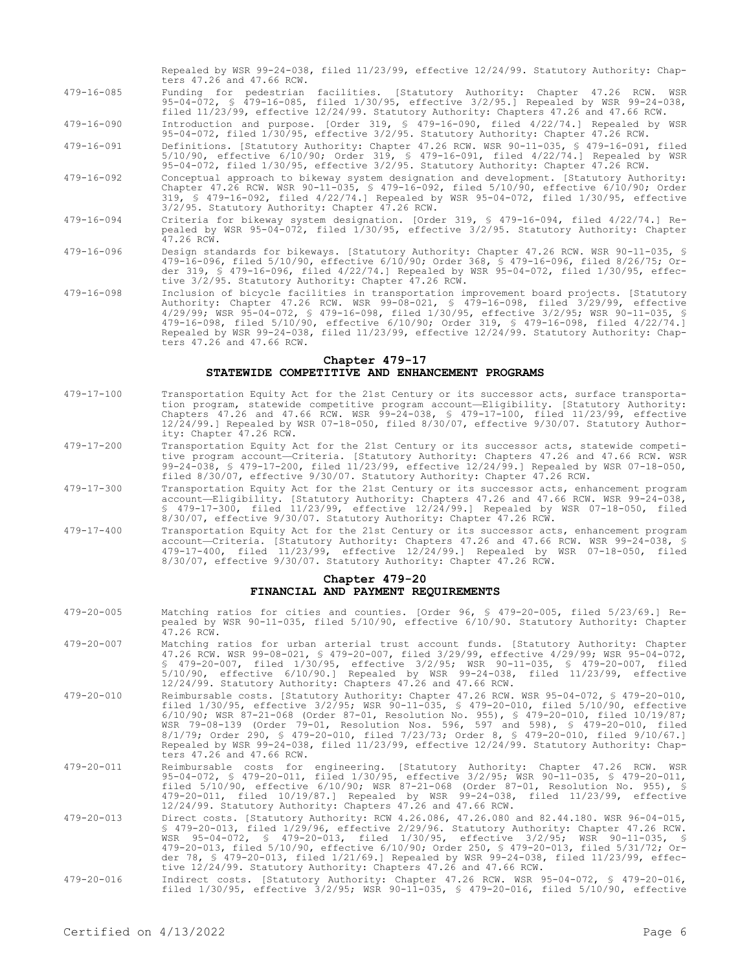Repealed by WSR 99-24-038, filed 11/23/99, effective 12/24/99. Statutory Authority: Chapters 47.26 and 47.66 RCW. 479-16-085 Funding for pedestrian facilities. [Statutory Authority: Chapter 47.26 RCW. WSR 95-04-072, § 479-16-085, filed 1/30/95, effective 3/2/95.] Repealed by WSR 99-24-038, filed 11/23/99, effective 12/24/99. Statutory Authority: Chapters 47.26 and 47.66 RCW.

479-16-090 Introduction and purpose. [Order 319, § 479-16-090, filed 4/22/74.] Repealed by WSR 95-04-072, filed 1/30/95, effective 3/2/95. Statutory Authority: Chapter 47.26 RCW.

479-16-091 Definitions. [Statutory Authority: Chapter 47.26 RCW. WSR 90-11-035, § 479-16-091, filed 5/10/90, effective 6/10/90; Order 319, § 479-16-091, filed 4/22/74.] Repealed by WSR 95-04-072, filed 1/30/95, effective 3/2/95. Statutory Authority: Chapter 47.26 RCW.

- 479-16-092 Conceptual approach to bikeway system designation and development. [Statutory Authority: Chapter 47.26 RCW. WSR 90-11-035, § 479-16-092, filed 5/10/90, effective 6/10/90; Order 319, § 479-16-092, filed 4/22/74.] Repealed by WSR 95-04-072, filed 1/30/95, effective 3/2/95. Statutory Authority: Chapter 47.26 RCW.
- 479-16-094 Criteria for bikeway system designation. [Order 319, § 479-16-094, filed 4/22/74.] Repealed by WSR 95-04-072, filed 1/30/95, effective 3/2/95. Statutory Authority: Chapter 47.26 RCW.
- 479-16-096 Design standards for bikeways. [Statutory Authority: Chapter 47.26 RCW. WSR 90-11-035, § 479-16-096, filed 5/10/90, effective 6/10/90; Order 368, § 479-16-096, filed 8/26/75; Order 319, § 479-16-096, filed 4/22/74.] Repealed by WSR 95-04-072, filed 1/30/95, effective 3/2/95. Statutory Authority: Chapter 47.26 RCW.
- 479-16-098 Inclusion of bicycle facilities in transportation improvement board projects. [Statutory Authority: Chapter 47.26 RCW. WSR 99-08-021, § 479-16-098, filed 3/29/99, effective 4/29/99; WSR 95-04-072, § 479-16-098, filed 1/30/95, effective 3/2/95; WSR 90-11-035, § 479-16-098, filed 5/10/90, effective 6/10/90; Order 319, § 479-16-098, filed 4/22/74.] Repealed by WSR 99-24-038, filed 11/23/99, effective 12/24/99. Statutory Authority: Chapters 47.26 and 47.66 RCW.

#### **Chapter 479-17 STATEWIDE COMPETITIVE AND ENHANCEMENT PROGRAMS**

- 479-17-100 Transportation Equity Act for the 21st Century or its successor acts, surface transportation program, statewide competitive program account—Eligibility. [Statutory Authority: Chapters 47.26 and 47.66 RCW. WSR 99-24-038, § 479-17-100, filed 11/23/99, effective 12/24/99.] Repealed by WSR 07-18-050, filed 8/30/07, effective 9/30/07. Statutory Authority: Chapter 47.26 RCW.
- 479-17-200 Transportation Equity Act for the 21st Century or its successor acts, statewide competitive program account—Criteria. [Statutory Authority: Chapters 47.26 and 47.66 RCW. WSR 99-24-038, § 479-17-200, filed 11/23/99, effective 12/24/99.] Repealed by WSR 07-18-050, filed 8/30/07, effective 9/30/07. Statutory Authority: Chapter 47.26 RCW.
- 479-17-300 Transportation Equity Act for the 21st Century or its successor acts, enhancement program account—Eligibility. [Statutory Authority: Chapters 47.26 and 47.66 RCW. WSR 99-24-038, § 479-17-300, filed 11/23/99, effective 12/24/99.] Repealed by WSR 07-18-050, filed 8/30/07, effective 9/30/07. Statutory Authority: Chapter 47.26 RCW.
- 479-17-400 Transportation Equity Act for the 21st Century or its successor acts, enhancement program account—Criteria. [Statutory Authority: Chapters 47.26 and 47.66 RCW. WSR 99-24-038, § 479-17-400, filed 11/23/99, effective 12/24/99.] Repealed by WSR 07-18-050, filed 8/30/07, effective 9/30/07. Statutory Authority: Chapter 47.26 RCW.

#### **Chapter 479-20 FINANCIAL AND PAYMENT REQUIREMENTS**

- 479-20-005 Matching ratios for cities and counties. [Order 96, § 479-20-005, filed 5/23/69.] Repealed by WSR 90-11-035, filed 5/10/90, effective 6/10/90. Statutory Authority: Chapter 47.26 RCW.
- 479-20-007 Matching ratios for urban arterial trust account funds. [Statutory Authority: Chapter 47.26 RCW. WSR 99-08-021, § 479-20-007, filed 3/29/99, effective 4/29/99; WSR 95-04-072, § 479-20-007, filed 1/30/95, effective 3/2/95; WSR 90-11-035, § 479-20-007, filed 5/10/90, effective 6/10/90.] Repealed by WSR 99-24-038, filed 11/23/99, effective 12/24/99. Statutory Authority: Chapters 47.26 and 47.66 RCW.
- 479-20-010 Reimbursable costs. [Statutory Authority: Chapter 47.26 RCW. WSR 95-04-072, § 479-20-010, filed 1/30/95, effective 3/2/95; WSR 90-11-035, § 479-20-010, filed 5/10/90, effective 6/10/90; WSR 87-21-068 (Order 87-01, Resolution No. 955), § 479-20-010, filed 10/19/87; WSR 79-08-139 (Order 79-01, Resolution Nos. 596, 597 and 598), § 479-20-010, filed 8/1/79; Order 290, § 479-20-010, filed 7/23/73; Order 8, § 479-20-010, filed 9/10/67.] Repealed by WSR 99-24-038, filed 11/23/99, effective 12/24/99. Statutory Authority: Chapters 47.26 and 47.66 RCW.
- 479-20-011 Reimbursable costs for engineering. [Statutory Authority: Chapter 47.26 RCW. WSR 95-04-072, § 479-20-011, filed 1/30/95, effective 3/2/95; WSR 90-11-035, § 479-20-011, filed 5/10/90, effective 6/10/90; WSR 87-21-068 (Order 87-01, Resolution No. 955), § 479-20-011, filed 10/19/87.] Repealed by WSR 99-24-038, filed 11/23/99, effective 12/24/99. Statutory Authority: Chapters 47.26 and 47.66 RCW.
- 479-20-013 Direct costs. [Statutory Authority: RCW 4.26.086, 47.26.080 and 82.44.180. WSR 96-04-015, § 479-20-013, filed 1/29/96, effective 2/29/96. Statutory Authority: Chapter 47.26 RCW. WSR 95-04-072, § 479-20-013, filed 1/30/95, effective 3/2/95; WSR 90-11-035, § 479-20-013, filed 5/10/90, effective 6/10/90; Order 250, § 479-20-013, filed 5/31/72; Order 78, § 479-20-013, filed 1/21/69.] Repealed by WSR 99-24-038, filed 11/23/99, effective 12/24/99. Statutory Authority: Chapters 47.26 and 47.66 RCW.
- 479-20-016 Indirect costs. [Statutory Authority: Chapter 47.26 RCW. WSR 95-04-072, § 479-20-016, filed 1/30/95, effective 3/2/95; WSR 90-11-035, § 479-20-016, filed 5/10/90, effective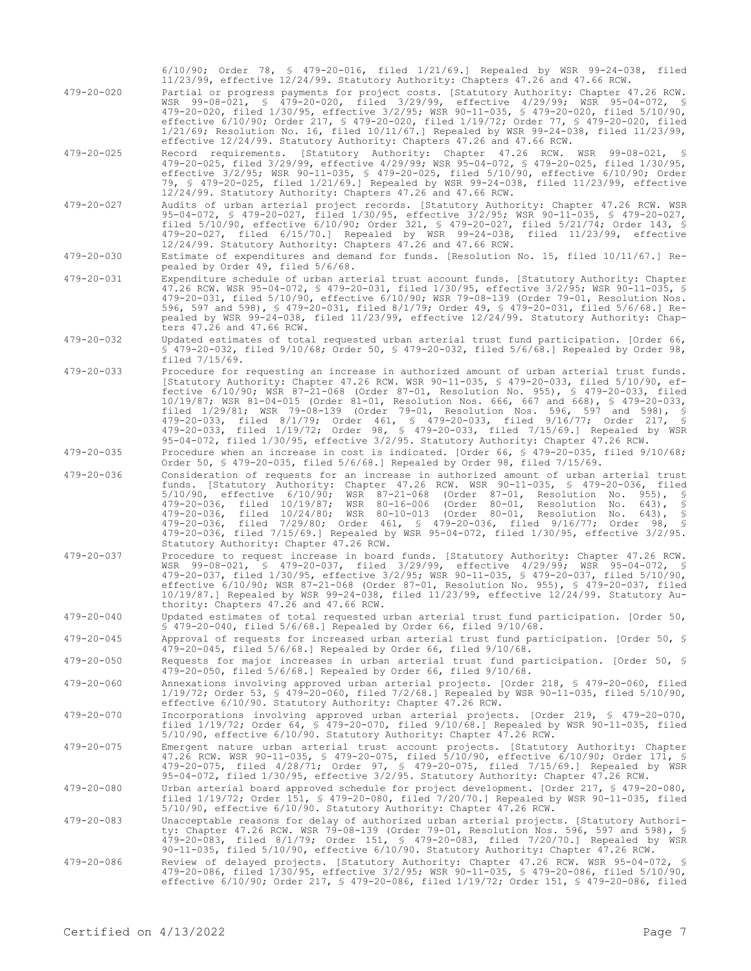|                  | $6/10/90$ ; Order 78, § 479-20-016, filed $1/21/69$ .] Repealed by WSR 99-24-038, filed<br>11/23/99, effective 12/24/99. Statutory Authority: Chapters 47.26 and 47.66 RCW.                                                                                                                                                                                                                                                                                                                                                                                                                                                                                                                                               |
|------------------|---------------------------------------------------------------------------------------------------------------------------------------------------------------------------------------------------------------------------------------------------------------------------------------------------------------------------------------------------------------------------------------------------------------------------------------------------------------------------------------------------------------------------------------------------------------------------------------------------------------------------------------------------------------------------------------------------------------------------|
| $479 - 20 - 020$ | Partial or progress payments for project costs. [Statutory Authority: Chapter 47.26 RCW.<br>WSR 99-08-021, § 479-20-020, filed 3/29/99, effective 4/29/99; WSR 95-04-072, §<br>479-20-020, filed 1/30/95, effective 3/2/95; WSR 90-11-035, § 479-20-020, filed 5/10/90,<br>effective 6/10/90; Order 217, § 479-20-020, filed 1/19/72; Order 77, § 479-20-020, filed<br>$1/21/69$ ; Resolution No. 16, filed $10/11/67$ . Repealed by WSR 99-24-038, filed 11/23/99,<br>effective 12/24/99. Statutory Authority: Chapters 47.26 and 47.66 RCW.                                                                                                                                                                             |
| $479 - 20 - 025$ | Record requirements. [Statutory Authority: Chapter 47.26 RCW. WSR 99-08-021, §<br>479-20-025, filed 3/29/99, effective 4/29/99; WSR 95-04-072, § 479-20-025, filed 1/30/95,<br>effective 3/2/95; WSR 90-11-035, § 479-20-025, filed 5/10/90, effective 6/10/90; Order<br>79, § 479-20-025, filed 1/21/69.] Repealed by WSR 99-24-038, filed 11/23/99, effective<br>12/24/99. Statutory Authority: Chapters 47.26 and 47.66 RCW.                                                                                                                                                                                                                                                                                           |
| $479 - 20 - 027$ | Audits of urban arterial project records. [Statutory Authority: Chapter 47.26 RCW. WSR<br>95-04-072, \$ 479-20-027, filed 1/30/95, effective 3/2/95; WSR 90-11-035, \$ 479-20-027,<br>filed 5/10/90, effective 6/10/90; Order 321, § 479-20-027, filed 5/21/74; Order 143, §<br>479-20-027, filed 6/15/70.] Repealed by WSR 99-24-038, filed 11/23/99, effective<br>12/24/99. Statutory Authority: Chapters 47.26 and 47.66 RCW.                                                                                                                                                                                                                                                                                          |
| $479 - 20 - 030$ | Estimate of expenditures and demand for funds. [Resolution No. 15, filed 10/11/67.] Re-<br>pealed by Order 49, filed 5/6/68.                                                                                                                                                                                                                                                                                                                                                                                                                                                                                                                                                                                              |
| $479 - 20 - 031$ | Expenditure schedule of urban arterial trust account funds. [Statutory Authority: Chapter<br>47.26 RCW. WSR 95-04-072, § 479-20-031, filed 1/30/95, effective 3/2/95; WSR 90-11-035, §<br>479-20-031, filed 5/10/90, effective 6/10/90; WSR 79-08-139 (Order 79-01, Resolution Nos.<br>596, 597 and 598), § 479-20-031, filed 8/1/79; Order 49, § 479-20-031, filed 5/6/68.] Re-<br>pealed by WSR 99-24-038, filed 11/23/99, effective 12/24/99. Statutory Authority: Chap-<br>ters 47.26 and 47.66 RCW.                                                                                                                                                                                                                  |
| $479 - 20 - 032$ | Updated estimates of total requested urban arterial trust fund participation. [Order 66,<br>\$ 479-20-032, filed $9/10/68$ ; Order 50, \$ 479-20-032, filed $5/6/68$ .] Repealed by Order 98,<br>filed $7/15/69$ .                                                                                                                                                                                                                                                                                                                                                                                                                                                                                                        |
| $479 - 20 - 033$ | Procedure for requesting an increase in authorized amount of urban arterial trust funds.<br>[Statutory Authority: Chapter 47.26 RCW. WSR 90-11-035, § 479-20-033, filed 5/10/90, ef-<br>fective 6/10/90; WSR 87-21-068 (Order 87-01, Resolution No. 955), § 479-20-033, filed<br>10/19/87; WSR 81-04-015 (Order 81-01, Resolution Nos. 666, 667 and 668), § 479-20-033,<br>filed 1/29/81; WSR 79-08-139 (Order 79-01, Resolution Nos. 596, 597 and 598), §<br>479-20-033, filed 8/1/79; Order 461, § 479-20-033, filed 9/16/77; Order 217, §<br>479-20-033, filed 1/19/72; Order 98, § 479-20-033, filed 7/15/69.] Repealed by WSR<br>95-04-072, filed 1/30/95, effective 3/2/95. Statutory Authority: Chapter 47.26 RCW. |
| $479 - 20 - 035$ | Procedure when an increase in cost is indicated. [Order 66, § 479-20-035, filed 9/10/68;<br>Order 50, § 479-20-035, filed $5/6/68$ .] Repealed by Order 98, filed $7/15/69$ .                                                                                                                                                                                                                                                                                                                                                                                                                                                                                                                                             |
| $479 - 20 - 036$ | Consideration of requests for an increase in authorized amount of urban arterial trust<br>funds. [Statutory Authority: Chapter 47.26 RCW. WSR 90-11-035, § 479-20-036, filed<br>$5/10/90$ , effective $6/10/90$ ; WSR 87-21-068 (Order 87-01, Resolution No. 955),<br>479-20-036, filed 10/19/87; WSR 80-16-006 (Order 80-01, Resolution No.<br>$643$ , §<br>479-20-036, filed 10/24/80; WSR 80-10-013 (Order 80-01, Resolution No. 643), §<br>479-20-036, filed 7/29/80; Order 461, § 479-20-036, filed 9/16/77; Order 98, §<br>479-20-036, filed 7/15/69.] Repealed by WSR 95-04-072, filed 1/30/95, effective 3/2/95.<br>Statutory Authority: Chapter 47.26 RCW.                                                       |
| $479 - 20 - 037$ | Procedure to request increase in board funds. [Statutory Authority: Chapter 47.26 RCW.<br>WSR 99-08-021, § 479-20-037, filed 3/29/99, effective 4/29/99; WSR 95-04-072, §<br>479-20-037, filed 1/30/95, effective 3/2/95; WSR 90-11-035, § 479-20-037, filed 5/10/90,<br>effective 6/10/90; WSR 87-21-068 (Order 87-01, Resolution No. 955), § 479-20-037, filed<br>$10/19/87$ .] Repealed by WSR 99-24-038, filed $11/23/99$ , effective $12/24/99$ . Statutory Au-<br>thority: Chapters 47.26 and 47.66 RCW.                                                                                                                                                                                                            |
| $479 - 20 - 040$ | Updated estimates of total requested urban arterial trust fund participation. [Order 50,<br>$$479-20-040$ , filed $5/6/68$ . Repealed by Order 66, filed $9/10/68$ .                                                                                                                                                                                                                                                                                                                                                                                                                                                                                                                                                      |
| $479 - 20 - 045$ | Approval of requests for increased urban arterial trust fund participation. [Order 50, §<br>479-20-045, filed $5/6/68$ . Repealed by Order 66, filed $9/10/68$ .                                                                                                                                                                                                                                                                                                                                                                                                                                                                                                                                                          |
| $479 - 20 - 050$ | Requests for major increases in urban arterial trust fund participation. [Order 50, §<br>479-20-050, filed 5/6/68.] Repealed by Order 66, filed 9/10/68.                                                                                                                                                                                                                                                                                                                                                                                                                                                                                                                                                                  |
| $479 - 20 - 060$ | Annexations involving approved urban arterial projects. [Order 218, § 479-20-060, filed<br>1/19/72; Order 53, § 479-20-060, filed 7/2/68.] Repealed by WSR 90-11-035, filed 5/10/90,<br>effective 6/10/90. Statutory Authority: Chapter 47.26 RCW.                                                                                                                                                                                                                                                                                                                                                                                                                                                                        |
| $479 - 20 - 070$ | Incorporations involving approved urban arterial projects. [Order 219, § 479-20-070,<br>filed $1/19/72$ ; Order 64, § 479-20-070, filed $9/10/68$ . Repealed by WSR 90-11-035, filed<br>5/10/90, effective 6/10/90. Statutory Authority: Chapter 47.26 RCW.                                                                                                                                                                                                                                                                                                                                                                                                                                                               |
| $479 - 20 - 075$ | Emergent nature urban arterial trust account projects. [Statutory Authority: Chapter<br>47.26 RCW. WSR 90-11-035, § 479-20-075, filed 5/10/90, effective 6/10/90; Order 171, §<br>479-20-075, filed 4/28/71; Order 97, § 479-20-075, filed 7/15/69.] Repealed by WSR<br>95-04-072, filed 1/30/95, effective 3/2/95. Statutory Authority: Chapter 47.26 RCW.                                                                                                                                                                                                                                                                                                                                                               |
| $479 - 20 - 080$ | Urban arterial board approved schedule for project development. [Order 217, \$ 479-20-080,<br>filed $1/19/72$ ; Order 151, § 479-20-080, filed $7/20/70$ .] Repealed by WSR 90-11-035, filed<br>5/10/90, effective 6/10/90. Statutory Authority: Chapter 47.26 RCW.                                                                                                                                                                                                                                                                                                                                                                                                                                                       |
| $479 - 20 - 083$ | Unacceptable reasons for delay of authorized urban arterial projects. [Statutory Authori-<br>ty: Chapter 47.26 RCW. WSR 79-08-139 (Order 79-01, Resolution Nos. 596, 597 and 598), §<br>479-20-083, filed 8/1/79; Order 151, § 479-20-083, filed 7/20/70.] Repealed by WSR<br>90-11-035, filed 5/10/90, effective 6/10/90. Statutory Authority: Chapter 47.26 RCW.                                                                                                                                                                                                                                                                                                                                                        |
| $479 - 20 - 086$ | Review of delayed projects. [Statutory Authority: Chapter 47.26 RCW. WSR 95-04-072, §<br>479-20-086, filed 1/30/95, effective 3/2/95; WSR 90-11-035, § 479-20-086, filed 5/10/90,<br>effective 6/10/90; Order 217, § 479-20-086, filed 1/19/72; Order 151, § 479-20-086, filed                                                                                                                                                                                                                                                                                                                                                                                                                                            |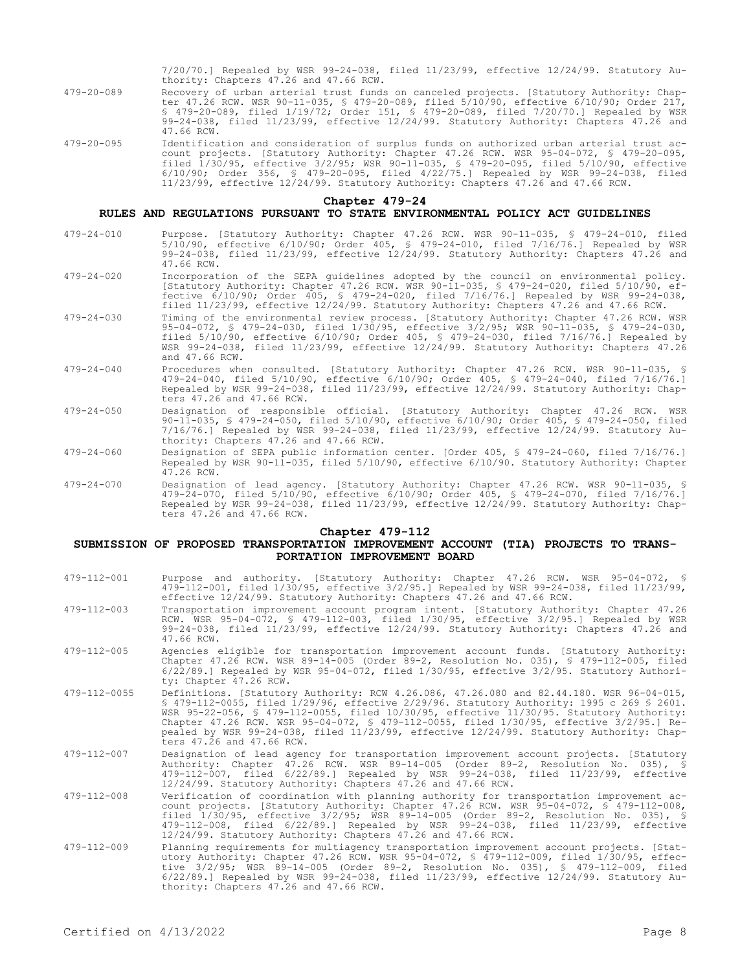7/20/70.] Repealed by WSR 99-24-038, filed 11/23/99, effective 12/24/99. Statutory Authority: Chapters 47.26 and 47.66 RCW.

- 479-20-089 Recovery of urban arterial trust funds on canceled projects. [Statutory Authority: Chapter 47.26 RCW. WSR 90-11-035, § 479-20-089, filed 5/10/90, effective 6/10/90; Order 217, § 479-20-089, filed 1/19/72; Order 151, § 479-20-089, filed 7/20/70.] Repealed by WSR 99-24-038, filed 11/23/99, effective 12/24/99. Statutory Authority: Chapters 47.26 and 47.66 RCW.
- 479-20-095 Identification and consideration of surplus funds on authorized urban arterial trust account projects. [Statutory Authority: Chapter 47.26 RCW. WSR 95-04-072, § 479-20-095, filed 1/30/95, effective 3/2/95; WSR 90-11-035, § 479-20-095, filed 5/10/90, effective 6/10/90; Order 356, § 479-20-095, filed 4/22/75.] Repealed by WSR 99-24-038, filed 11/23/99, effective 12/24/99. Statutory Authority: Chapters 47.26 and 47.66 RCW.

## **Chapter 479-24**

#### **RULES AND REGULATIONS PURSUANT TO STATE ENVIRONMENTAL POLICY ACT GUIDELINES**

- 479-24-010 Purpose. [Statutory Authority: Chapter 47.26 RCW. WSR 90-11-035, § 479-24-010, filed 5/10/90, effective 6/10/90; Order 405, § 479-24-010, filed 7/16/76.] Repealed by WSR 99-24-038, filed 11/23/99, effective 12/24/99. Statutory Authority: Chapters 47.26 and 47.66 RCW.
- 479-24-020 Incorporation of the SEPA guidelines adopted by the council on environmental policy. [Statutory Authority: Chapter 47.26 RCW. WSR 90-11-035, § 479-24-020, filed 5/10/90, effective 6/10/90; Order 405, § 479-24-020, filed 7/16/76.] Repealed by WSR 99-24-038, filed 11/23/99, effective 12/24/99. Statutory Authority: Chapters 47.26 and 47.66 RCW.
- 479-24-030 Timing of the environmental review process. [Statutory Authority: Chapter 47.26 RCW. WSR 95-04-072, § 479-24-030, filed 1/30/95, effective 3/2/95; WSR 90-11-035, § 479-24-030, filed 5/10/90, effective 6/10/90; Order 405, § 479-24-030, filed 7/16/76.] Repealed by WSR 99-24-038, filed 11/23/99, effective 12/24/99. Statutory Authority: Chapters 47.26 and 47.66 RCW.
- 479-24-040 Procedures when consulted. [Statutory Authority: Chapter 47.26 RCW. WSR 90-11-035, § 479-24-040, filed 5/10/90, effective 6/10/90; Order 405, § 479-24-040, filed 7/16/76.] Repealed by WSR 99-24-038, filed 11/23/99, effective 12/24/99. Statutory Authority: Chapters 47.26 and 47.66 RCW.
- 479-24-050 Designation of responsible official. [Statutory Authority: Chapter 47.26 RCW. WSR 90-11-035, § 479-24-050, filed 5/10/90, effective 6/10/90; Order 405, § 479-24-050, filed 7/16/76.] Repealed by WSR 99-24-038, filed 11/23/99, effective 12/24/99. Statutory Authority: Chapters 47.26 and 47.66 RCW.
- 479-24-060 Designation of SEPA public information center. [Order 405, § 479-24-060, filed 7/16/76.] Repealed by WSR 90-11-035, filed 5/10/90, effective 6/10/90. Statutory Authority: Chapter 47.26 RCW.
- 479-24-070 Designation of lead agency. [Statutory Authority: Chapter 47.26 RCW. WSR 90-11-035, § 479-24-070, filed 5/10/90, effective 6/10/90; Order 405, § 479-24-070, filed 7/16/76.] Repealed by WSR 99-24-038, filed 11/23/99, effective 12/24/99. Statutory Authority: Chapters 47.26 and 47.66 RCW.

#### **Chapter 479-112**

## **SUBMISSION OF PROPOSED TRANSPORTATION IMPROVEMENT ACCOUNT (TIA) PROJECTS TO TRANS-PORTATION IMPROVEMENT BOARD**

- 479-112-001 Purpose and authority. [Statutory Authority: Chapter 47.26 RCW. WSR 95-04-072, § 479-112-001, filed 1/30/95, effective 3/2/95.] Repealed by WSR 99-24-038, filed 11/23/99, effective 12/24/99. Statutory Authority: Chapters 47.26 and 47.66 RCW.
- 479-112-003 Transportation improvement account program intent. [Statutory Authority: Chapter 47.26 RCW. WSR 95-04-072, § 479-112-003, filed 1/30/95, effective 3/2/95.] Repealed by WSR 99-24-038, filed 11/23/99, effective 12/24/99. Statutory Authority: Chapters 47.26 and 47.66 RCW.
- 479-112-005 Agencies eligible for transportation improvement account funds. [Statutory Authority: Chapter 47.26 RCW. WSR 89-14-005 (Order 89-2, Resolution No. 035), § 479-112-005, filed 6/22/89.] Repealed by WSR 95-04-072, filed 1/30/95, effective 3/2/95. Statutory Authority: Chapter 47.26 RCW.
- 479-112-0055 Definitions. [Statutory Authority: RCW 4.26.086, 47.26.080 and 82.44.180. WSR 96-04-015, § 479-112-0055, filed 1/29/96, effective 2/29/96. Statutory Authority: 1995 c 269 § 2601. WSR 95-22-056, § 479-112-0055, filed 10/30/95, effective 11/30/95. Statutory Authority: Chapter 47.26 RCW. WSR 95-04-072, § 479-112-0055, filed 1/30/95, effective 3/2/95.] Repealed by WSR 99-24-038, filed 11/23/99, effective 12/24/99. Statutory Authority: Chapters 47.26 and 47.66 RCW.
- 479-112-007 Designation of lead agency for transportation improvement account projects. [Statutory Authority: Chapter 47.26 RCW. WSR 89-14-005 (Order 89-2, Resolution No. 035), § 479-112-007, filed 6/22/89.] Repealed by WSR 99-24-038, filed 11/23/99, effective 12/24/99. Statutory Authority: Chapters 47.26 and 47.66 RCW.
- 479-112-008 Verification of coordination with planning authority for transportation improvement account projects. [Statutory Authority: Chapter 47.26 RCW. WSR 95-04-072, § 479-112-008,<br>filed 1/30/95, effective 3/2/95; WSR 89-14-005 (Order 89-2, Resolution No. 035), §<br>479-112-008, filed 6/22/89.] Repealed by WSR 99-24-0 12/24/99. Statutory Authority: Chapters 47.26 and 47.66 RCW.
- 479-112-009 Planning requirements for multiagency transportation improvement account projects. [Statutory Authority: Chapter 47.26 RCW. WSR 95-04-072, § 479-112-009, filed 1/30/95, effective 3/2/95; WSR 89-14-005 (Order 89-2, Resolution No. 035), § 479-112-009, filed 6/22/89.] Repealed by WSR 99-24-038, filed 11/23/99, effective 12/24/99. Statutory Authority: Chapters 47.26 and 47.66 RCW.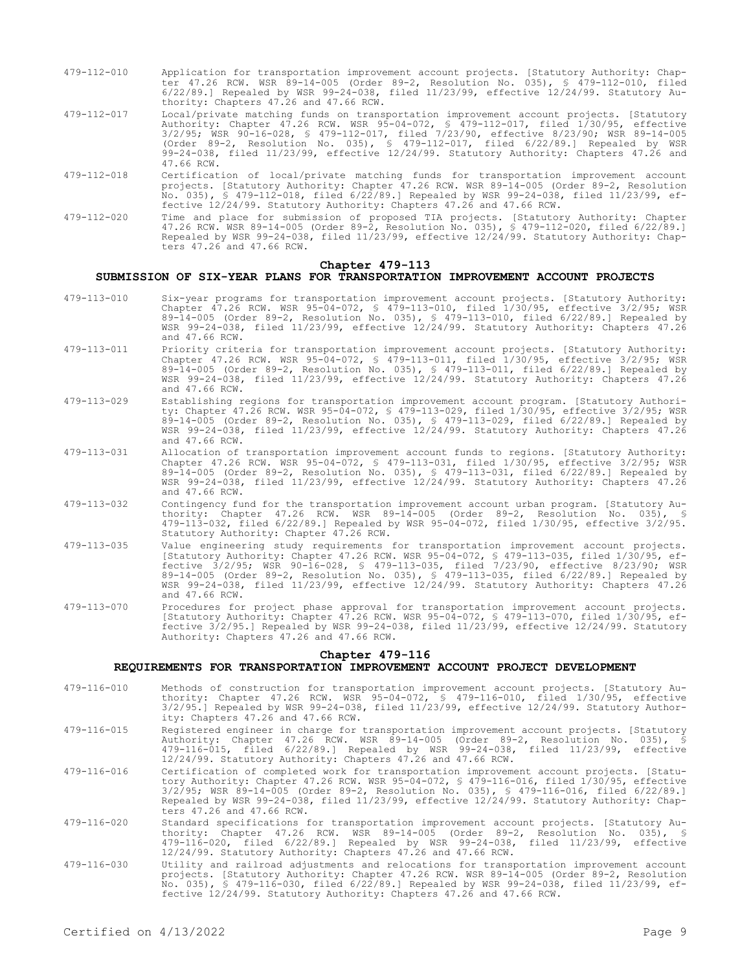- 479-112-010 Application for transportation improvement account projects. [Statutory Authority: Chapter 47.26 RCW. WSR 89-14-005 (Order 89-2, Resolution No. 035), § 479-112-010, filed 6/22/89.] Repealed by WSR 99-24-038, filed 11/23/99, effective 12/24/99. Statutory Authority: Chapters 47.26 and 47.66 RCW.
- 479-112-017 Local/private matching funds on transportation improvement account projects. [Statutory Authority: Chapter 47.26 RCW. WSR 95-04-072, § 479-112-017, filed 1/30/95, effective 3/2/95; WSR 90-16-028, § 479-112-017, filed 7/23/90, effective 8/23/90; WSR 89-14-005 (Order 89-2, Resolution No. 035), § 479-112-017, filed 6/22/89.] Repealed by WSR 99-24-038, filed 11/23/99, effective 12/24/99. Statutory Authority: Chapters 47.26 and 47.66 RCW.
- 479-112-018 Certification of local/private matching funds for transportation improvement account projects. [Statutory Authority: Chapter 47.26 RCW. WSR 89-14-005 (Order 89-2, Resolution No. 035), § 479-112-018, filed 6/22/89.] Repealed by WSR 99-24-038, filed 11/23/99, effective 12/24/99. Statutory Authority: Chapters 47.26 and 47.66 RCW.
- 479-112-020 Time and place for submission of proposed TIA projects. [Statutory Authority: Chapter 47.26 RCW. WSR 89-14-005 (Order 89-2, Resolution No. 035), § 479-112-020, filed 6/22/89.] Repealed by WSR 99-24-038, filed 11/23/99, effective 12/24/99. Statutory Authority: Chapters 47.26 and 47.66 RCW.

#### **Chapter 479-113**

## **SUBMISSION OF SIX-YEAR PLANS FOR TRANSPORTATION IMPROVEMENT ACCOUNT PROJECTS**

- 479-113-010 Six-year programs for transportation improvement account projects. [Statutory Authority: Chapter 47.26 RCW. WSR 95-04-072, § 479-113-010, filed 1/30/95, effective 3/2/95; WSR 89-14-005 (Order 89-2, Resolution No. 035), § 479-113-010, filed 6/22/89.] Repealed by WSR 99-24-038, filed 11/23/99, effective 12/24/99. Statutory Authority: Chapters 47.26 and 47.66 RCW.
- 479-113-011 Priority criteria for transportation improvement account projects. [Statutory Authority: Chapter 47.26 RCW. WSR 95-04-072, § 479-113-011, filed 1/30/95, effective 3/2/95; WSR 89-14-005 (Order 89-2, Resolution No. 035), § 479-113-011, filed 6/22/89.] Repealed by WSR 99-24-038, filed 11/23/99, effective 12/24/99. Statutory Authority: Chapters 47.26 and 47.66 RCW.
- 479-113-029 Establishing regions for transportation improvement account program. [Statutory Authority: Chapter 47.26 RCW. WSR 95-04-072, § 479-113-029, filed 1/30/95, effective 3/2/95; WSR 89-14-005 (Order 89-2, Resolution No. 035), § 479-113-029, filed 6/22/89.] Repealed by WSR 99-24-038, filed 11/23/99, effective 12/24/99. Statutory Authority: Chapters 47.26 and 47.66 RCW.
- 479-113-031 Allocation of transportation improvement account funds to regions. [Statutory Authority: Chapter 47.26 RCW. WSR 95-04-072, § 479-113-031, filed 1/30/95, effective 3/2/95; WSR 89-14-005 (Order 89-2, Resolution No. 035), § 479-113-031, filed 6/22/89.] Repealed by WSR 99-24-038, filed 11/23/99, effective 12/24/99. Statutory Authority: Chapters 47.26 and 47.66 RCW.
- 479-113-032 Contingency fund for the transportation improvement account urban program. [Statutory Authority: Chapter 47.26 RCW. WSR 89-14-005 (Order 89-2, Resolution No. 035), § 479-113-032, filed 6/22/89.] Repealed by WSR 95-04-072, filed 1/30/95, effective 3/2/95. Statutory Authority: Chapter 47.26 RCW.
- 479-113-035 Value engineering study requirements for transportation improvement account projects. [Statutory Authority: Chapter 47.26 RCW. WSR 95-04-072, § 479-113-035, filed 1/30/95, effective 3/2/95; WSR 90-16-028, § 479-113-035, filed 7/23/90, effective 8/23/90; WSR 89-14-005 (Order 89-2, Resolution No. 035), § 479-113-035, filed 6/22/89.] Repealed by WSR 99-24-038, filed 11/23/99, effective 12/24/99. Statutory Authority: Chapters 47.26 and 47.66 RCW.
- 479-113-070 Procedures for project phase approval for transportation improvement account projects. [Statutory Authority: Chapter 47.26 RCW. WSR 95-04-072, § 479-113-070, filed 1/30/95, effective 3/2/95.] Repealed by WSR 99-24-038, filed 11/23/99, effective 12/24/99. Statutory Authority: Chapters 47.26 and 47.66 RCW.

## **Chapter 479-116**

### **REQUIREMENTS FOR TRANSPORTATION IMPROVEMENT ACCOUNT PROJECT DEVELOPMENT**

- 479-116-010 Methods of construction for transportation improvement account projects. [Statutory Authority: Chapter 47.26 RCW. WSR 95-04-072, § 479-116-010, filed 1/30/95, effective 3/2/95.] Repealed by WSR 99-24-038, filed 11/23/99, effective 12/24/99. Statutory Authority: Chapters 47.26 and 47.66 RCW.
- 479-116-015 Registered engineer in charge for transportation improvement account projects. [Statutory Authority: Chapter 47.26 RCW. WSR 89-14-005 (Order 89-2, Resolution No. 035), § 479-116-015, filed 6/22/89.] Repealed by WSR 99-24-038, filed 11/23/99, effective 12/24/99. Statutory Authority: Chapters 47.26 and 47.66 RCW.
- 479-116-016 Certification of completed work for transportation improvement account projects. [Statutory Authority: Chapter 47.26 RCW. WSR 95-04-072, § 479-116-016, filed 1/30/95, effective 3/2/95; WSR 89-14-005 (Order 89-2, Resolution No. 035), § 479-116-016, filed 6/22/89.] Repealed by WSR 99-24-038, filed 11/23/99, effective 12/24/99. Statutory Authority: Chapters 47.26 and 47.66 RCW.
- 479-116-020 Standard specifications for transportation improvement account projects. [Statutory Au-thority: Chapter 47.26 RCW. WSR 89-14-005 (Order 89-2, Resolution No. 035), § 479-116-020, filed 6/22/89.] Repealed by WSR 99-24-038, filed 11/23/99, effective 12/24/99. Statutory Authority: Chapters 47.26 and 47.66 RCW.
- 479-116-030 Utility and railroad adjustments and relocations for transportation improvement account projects. [Statutory Authority: Chapter 47.26 RCW. WSR 89-14-005 (Order 89-2, Resolution No. 035), § 479-116-030, filed 6/22/89.] Repealed by WSR 99-24-038, filed 11/23/99, effective 12/24/99. Statutory Authority: Chapters 47.26 and 47.66 RCW.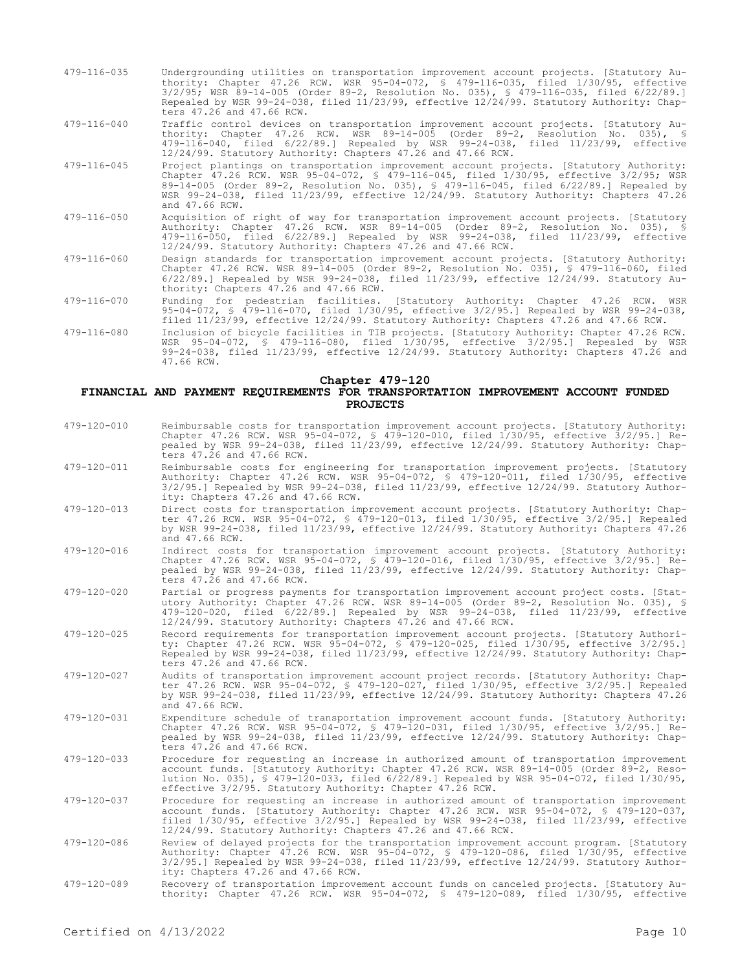- 479-116-035 Undergrounding utilities on transportation improvement account projects. [Statutory Authority: Chapter 47.26 RCW. WSR 95-04-072, § 479-116-035, filed 1/30/95, effective 3/2/95; WSR 89-14-005 (Order 89-2, Resolution No. 035), § 479-116-035, filed 6/22/89.] Repealed by WSR 99-24-038, filed 11/23/99, effective 12/24/99. Statutory Authority: Chapters 47.26 and 47.66 RCW.
- 479-116-040 Traffic control devices on transportation improvement account projects. [Statutory Authority: Chapter 47.26 RCW. WSR 89-14-005 (Order 89-2, Resolution No. 035), § 479-116-040, filed 6/22/89.] Repealed by WSR 99-24-038, filed 11/23/99, effective 12/24/99. Statutory Authority: Chapters 47.26 and 47.66 RCW.
- 479-116-045 Project plantings on transportation improvement account projects. [Statutory Authority: Chapter 47.26 RCW. WSR 95-04-072, § 479-116-045, filed 1/30/95, effective 3/2/95; WSR 89-14-005 (Order 89-2, Resolution No. 035), § 479-116-045, filed 6/22/89.] Repealed by WSR 99-24-038, filed 11/23/99, effective 12/24/99. Statutory Authority: Chapters 47.26 and 47.66 RCW.
- 479-116-050 Acquisition of right of way for transportation improvement account projects. [Statutory Authority: Chapter 47.26 RCW. WSR 89-14-005 (Order 89-2, Resolution No. 035), § 479-116-050, filed 6/22/89.] Repealed by WSR 99-24-038, filed 11/23/99, effective 12/24/99. Statutory Authority: Chapters 47.26 and 47.66 RCW.
- 479-116-060 Design standards for transportation improvement account projects. [Statutory Authority: Chapter 47.26 RCW. WSR 89-14-005 (Order 89-2, Resolution No. 035), § 479-116-060, filed 6/22/89.] Repealed by WSR 99-24-038, filed 11/23/99, effective 12/24/99. Statutory Authority: Chapters 47.26 and 47.66 RCW.
- 479-116-070 Funding for pedestrian facilities. [Statutory Authority: Chapter 47.26 RCW. WSR 95-04-072, § 479-116-070, filed 1/30/95, effective 3/2/95.] Repealed by WSR 99-24-038, filed 11/23/99, effective 12/24/99. Statutory Authority: Chapters 47.26 and 47.66 RCW.
- 479-116-080 Inclusion of bicycle facilities in TIB projects. [Statutory Authority: Chapter 47.26 RCW. WSR 95-04-072, § 479-116-080, filed 1/30/95, effective 3/2/95.] Repealed by WSR 99-24-038, filed 11/23/99, effective 12/24/99. Statutory Authority: Chapters 47.26 and 47.66 RCW.

#### **Chapter 479-120**

#### **FINANCIAL AND PAYMENT REQUIREMENTS FOR TRANSPORTATION IMPROVEMENT ACCOUNT FUNDED PROJECTS**

479-120-010 Reimbursable costs for transportation improvement account projects. [Statutory Authority: Chapter 47.26 RCW. WSR 95-04-072, § 479-120-010, filed 1/30/95, effective 3/2/95.] Repealed by WSR 99-24-038, filed 11/23/99, effective 12/24/99. Statutory Authority: Chapters 47.26 and 47.66 RCW. 479-120-011 Reimbursable costs for engineering for transportation improvement projects. [Statutory Authority: Chapter 47.26 RCW. WSR 95-04-072, § 479-120-011, filed 1/30/95, effective 3/2/95.] Repealed by WSR 99-24-038, filed 11/23/99, effective 12/24/99. Statutory Authority: Chapters 47.26 and 47.66 RCW. 479-120-013 Direct costs for transportation improvement account projects. [Statutory Authority: Chapter 47.26 RCW. WSR 95-04-072, § 479-120-013, filed 1/30/95, effective 3/2/95.] Repealed by WSR 99-24-038, filed 11/23/99, effective 12/24/99. Statutory Authority: Chapters 47.26 and 47.66 RCW. 479-120-016 Indirect costs for transportation improvement account projects. [Statutory Authority: Chapter 47.26 RCW. WSR 95-04-072, § 479-120-016, filed 1/30/95, effective 3/2/95.] Repealed by WSR 99-24-038, filed 11/23/99, effective 12/24/99. Statutory Authority: Chapters 47.26 and 47.66 RCW. 479-120-020 Partial or progress payments for transportation improvement account project costs. [Statutory Authority: Chapter 47.26 RCW. WSR 89-14-005 (Order 89-2, Resolution No. 035), § 479-120-020, filed 6/22/89.] Repealed by WSR 99-24-038, filed 11/23/99, effective 12/24/99. Statutory Authority: Chapters 47.26 and 47.66 RCW. 479-120-025 Record requirements for transportation improvement account projects. [Statutory Authority: Chapter 47.26 RCW. WSR 95-04-072, § 479-120-025, filed 1/30/95, effective 3/2/95.] Repealed by WSR 99-24-038, filed 11/23/99, effective 12/24/99. Statutory Authority: Chapters 47.26 and 47.66 RCW. 479-120-027 Audits of transportation improvement account project records. [Statutory Authority: Chapter 47.26 RCW. WSR 95-04-072, § 479-120-027, filed 1/30/95, effective 3/2/95.] Repealed by WSR 99-24-038, filed 11/23/99, effective 12/24/99. Statutory Authority: Chapters 47.26 and 47.66 RCW. 479-120-031 Expenditure schedule of transportation improvement account funds. [Statutory Authority: Chapter 47.26 RCW. WSR 95-04-072, § 479-120-031, filed 1/30/95, effective 3/2/95.] Repealed by WSR 99-24-038, filed 11/23/99, effective 12/24/99. Statutory Authority: Chapters 47.26 and 47.66 RCW. 479-120-033 Procedure for requesting an increase in authorized amount of transportation improvement account funds. [Statutory Authority: Chapter 47.26 RCW. WSR 89-14-005 (Order 89-2, Resolution No. 035), § 479-120-033, filed 6/22/89.] Repealed by WSR 95-04-072, filed 1/30/95, effective 3/2/95. Statutory Authority: Chapter 47.26 RCW. 479-120-037 Procedure for requesting an increase in authorized amount of transportation improvement account funds. [Statutory Authority: Chapter 47.26 RCW. WSR 95-04-072, § 479-120-037, filed 1/30/95, effective 3/2/95.] Repealed by WSR 99-24-038, filed 11/23/99, effective 12/24/99. Statutory Authority: Chapters 47.26 and 47.66 RCW. 479-120-086 Review of delayed projects for the transportation improvement account program. [Statutory Authority: Chapter 47.26 RCW. WSR 95-04-072, § 479-120-086, filed 1/30/95, effective 3/2/95.] Repealed by WSR 99-24-038, filed 11/23/99, effective 12/24/99. Statutory Authority: Chapters 47.26 and 47.66 RCW. 479-120-089 Recovery of transportation improvement account funds on canceled projects. [Statutory Authority: Chapter 47.26 RCW. WSR 95-04-072, § 479-120-089, filed 1/30/95, effective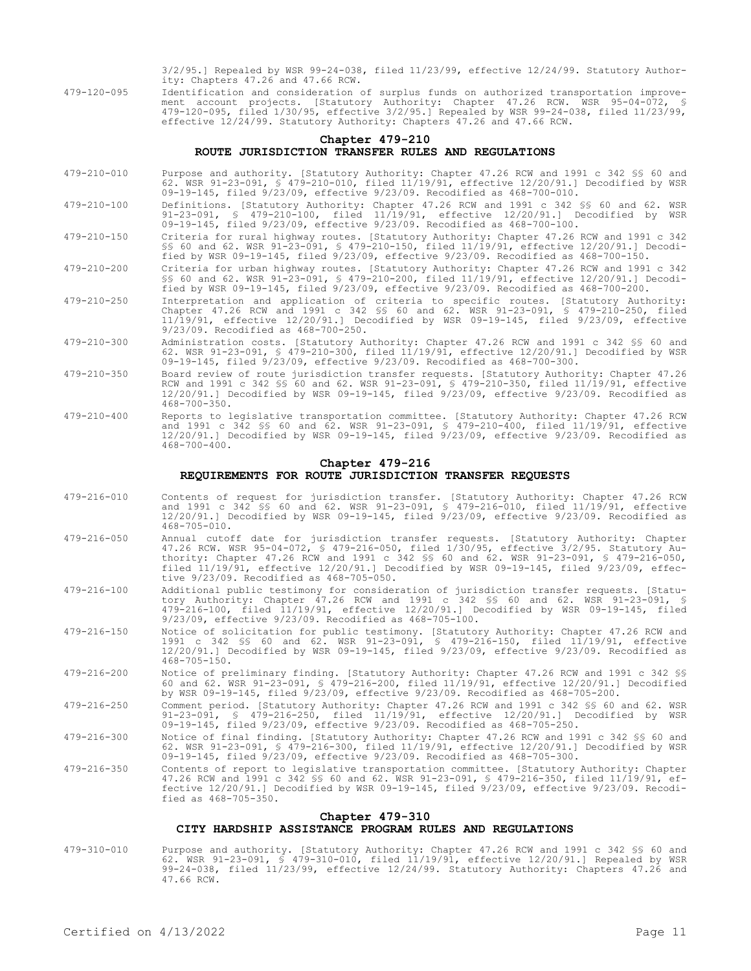3/2/95.] Repealed by WSR 99-24-038, filed 11/23/99, effective 12/24/99. Statutory Authority: Chapters 47.26 and 47.66 RCW.

479-120-095 Identification and consideration of surplus funds on authorized transportation improvement account projects. [Statutory Authority: Chapter 47.26 RCW. WSR 95-04-072, § 479-120-095, filed 1/30/95, effective 3/2/95.] Repealed by WSR 99-24-038, filed 11/23/99, effective 12/24/99. Statutory Authority: Chapters 47.26 and 47.66 RCW.

## **Chapter 479-210 ROUTE JURISDICTION TRANSFER RULES AND REGULATIONS**

- 479-210-010 Purpose and authority. [Statutory Authority: Chapter 47.26 RCW and 1991 c 342 §§ 60 and 62. WSR 91-23-091, § 479-210-010, filed 11/19/91, effective 12/20/91.] Decodified by WSR 09-19-145, filed 9/23/09, effective 9/23/09. Recodified as 468-700-010.
- 479-210-100 Definitions. [Statutory Authority: Chapter 47.26 RCW and 1991 c 342 §§ 60 and 62. WSR 91-23-091, § 479-210-100, filed 11/19/91, effective 12/20/91.] Decodified by WSR 09-19-145, filed 9/23/09, effective 9/23/09. Recodified as 468-700-100.
- 479-210-150 Criteria for rural highway routes. [Statutory Authority: Chapter 47.26 RCW and 1991 c 342 §§ 60 and 62. WSR 91-23-091, § 479-210-150, filed 11/19/91, effective 12/20/91.] Decodified by WSR 09-19-145, filed 9/23/09, effective 9/23/09. Recodified as 468-700-150.
- 479-210-200 Criteria for urban highway routes. [Statutory Authority: Chapter 47.26 RCW and 1991 c 342 §§ 60 and 62. WSR 91-23-091, § 479-210-200, filed 11/19/91, effective 12/20/91.] Decodified by WSR 09-19-145, filed 9/23/09, effective 9/23/09. Recodified as 468-700-200.
- 479-210-250 Interpretation and application of criteria to specific routes. [Statutory Authority: Chapter 47.26 RCW and 1991 c 342 §§ 60 and 62. WSR 91-23-091, § 479-210-250, filed 11/19/91, effective 12/20/91.] Decodified by WSR 09-19-145, filed 9/23/09, effective 9/23/09. Recodified as 468-700-250.
- 479-210-300 Administration costs. [Statutory Authority: Chapter 47.26 RCW and 1991 c 342 §§ 60 and 62. WSR 91-23-091, § 479-210-300, filed 11/19/91, effective 12/20/91.] Decodified by WSR 09-19-145, filed 9/23/09, effective 9/23/09. Recodified as 468-700-300.
- 479-210-350 Board review of route jurisdiction transfer requests. [Statutory Authority: Chapter 47.26 RCW and 1991 c 342 §§ 60 and 62. WSR 91-23-091, § 479-210-350, filed 11/19/91, effective 12/20/91.] Decodified by WSR 09-19-145, filed 9/23/09, effective 9/23/09. Recodified as  $468 - 700 - 350$ .
- 479-210-400 Reports to legislative transportation committee. [Statutory Authority: Chapter 47.26 RCW and 1991 c 342 §§ 60 and 62. WSR 91-23-091, § 479-210-400, filed 11/19/91, effective 12/20/91.] Decodified by WSR 09-19-145, filed 9/23/09, effective 9/23/09. Recodified as 468-700-400.

### **Chapter 479-216 REQUIREMENTS FOR ROUTE JURISDICTION TRANSFER REQUESTS**

- 479-216-010 Contents of request for jurisdiction transfer. [Statutory Authority: Chapter 47.26 RCW and 1991 c 342 §§ 60 and 62. WSR 91-23-091, § 479-216-010, filed 11/19/91, effective 12/20/91.] Decodified by WSR 09-19-145, filed 9/23/09, effective 9/23/09. Recodified as 468-705-010.
- 479-216-050 Annual cutoff date for jurisdiction transfer requests. [Statutory Authority: Chapter 47.26 RCW. WSR 95-04-072, § 479-216-050, filed 1/30/95, effective 3/2/95. Statutory Authority: Chapter 47.26 RCW and 1991 c 342 §§ 60 and 62. WSR 91-23-091, § 479-216-050, filed 11/19/91, effective 12/20/91.] Decodified by WSR 09-19-145, filed 9/23/09, effective 9/23/09. Recodified as 468-705-050.
- 479-216-100 Additional public testimony for consideration of jurisdiction transfer requests. [Statutory Authority: Chapter 47.26 RCW and 1991 c 342 §§ 60 and 62. WSR 91-23-091, § 479-216-100, filed 11/19/91, effective 12/20/91.] Decodified by WSR 09-19-145, filed 9/23/09, effective 9/23/09. Recodified as 468-705-100.
- 479-216-150 Notice of solicitation for public testimony. [Statutory Authority: Chapter 47.26 RCW and 1991 c 342 §§ 60 and 62. WSR 91-23-091, § 479-216-150, filed 11/19/91, effective 12/20/91.] Decodified by WSR 09-19-145, filed 9/23/09, effective 9/23/09. Recodified as  $468 - 705 - 150$ .
- 479-216-200 Notice of preliminary finding. [Statutory Authority: Chapter 47.26 RCW and 1991 c 342 §§ 60 and 62. WSR 91-23-091, § 479-216-200, filed 11/19/91, effective 12/20/91.] Decodified by WSR 09-19-145, filed 9/23/09, effective 9/23/09. Recodified as 468-705-200.
- 479-216-250 Comment period. [Statutory Authority: Chapter 47.26 RCW and 1991 c 342 §§ 60 and 62. WSR 91-23-091, § 479-216-250, filed 11/19/91, effective 12/20/91.] Decodified by WSR 09-19-145, filed 9/23/09, effective 9/23/09. Recodified as 468-705-250.
- 479-216-300 Notice of final finding. [Statutory Authority: Chapter 47.26 RCW and 1991 c 342 §§ 60 and 62. WSR 91-23-091, § 479-216-300, filed 11/19/91, effective 12/20/91.] Decodified by WSR 09-19-145, filed 9/23/09, effective 9/23/09. Recodified as 468-705-300.
- 479-216-350 Contents of report to legislative transportation committee. [Statutory Authority: Chapter 47.26 RCW and 1991 c 342 §§ 60 and 62. WSR 91-23-091, § 479-216-350, filed 11/19/91, effective 12/20/91.] Decodified by WSR 09-19-145, filed 9/23/09, effective 9/23/09. Recodified as 468-705-350.

### **Chapter 479-310 CITY HARDSHIP ASSISTANCE PROGRAM RULES AND REGULATIONS**

479-310-010 Purpose and authority. [Statutory Authority: Chapter 47.26 RCW and 1991 c 342 §§ 60 and 62. WSR 91-23-091, § 479-310-010, filed 11/19/91, effective 12/20/91.] Repealed by WSR 99-24-038, filed 11/23/99, effective 12/24/99. Statutory Authority: Chapters 47.26 and 47.66 RCW.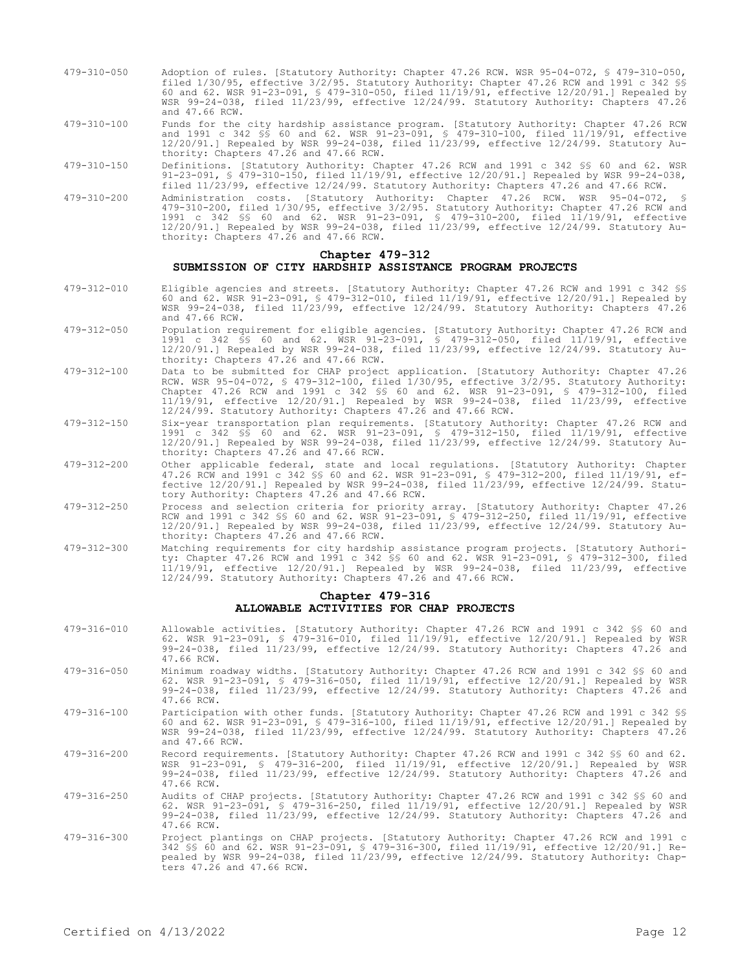- 479-310-050 Adoption of rules. [Statutory Authority: Chapter 47.26 RCW. WSR 95-04-072, § 479-310-050, filed 1/30/95, effective 3/2/95. Statutory Authority: Chapter 47.26 RCW and 1991 c 342 §§ 60 and 62. WSR 91-23-091, § 479-310-050, filed 11/19/91, effective 12/20/91.] Repealed by WSR 99-24-038, filed 11/23/99, effective 12/24/99. Statutory Authority: Chapters 47.26 and 47.66 RCW.
- 479-310-100 Funds for the city hardship assistance program. [Statutory Authority: Chapter 47.26 RCW and 1991 c 342 §§ 60 and 62. WSR 91-23-091, § 479-310-100, filed 11/19/91, effective 12/20/91.] Repealed by WSR 99-24-038, filed 11/23/99, effective 12/24/99. Statutory Authority: Chapters 47.26 and 47.66 RCW.
- 479-310-150 Definitions. [Statutory Authority: Chapter 47.26 RCW and 1991 c 342 §§ 60 and 62. WSR 91-23-091, § 479-310-150, filed 11/19/91, effective 12/20/91.] Repealed by WSR 99-24-038, filed 11/23/99, effective 12/24/99. Statutory Authority: Chapters 47.26 and 47.66 RCW.
- 479-310-200 Administration costs. [Statutory Authority: Chapter 47.26 RCW. WSR 95-04-072, 479-310-200, filed 1/30/95, effective 3/2/95. Statutory Authority: Chapter 47.26 RCW and 1991 c 342 §§ 60 and 62. WSR 91-23-091, § 479-310-200, filed 11/19/91, effective 12/20/91.] Repealed by WSR 99-24-038, filed 11/23/99, effective 12/24/99. Statutory Authority: Chapters 47.26 and 47.66 RCW.

### **Chapter 479-312 SUBMISSION OF CITY HARDSHIP ASSISTANCE PROGRAM PROJECTS**

- 479-312-010 Eligible agencies and streets. [Statutory Authority: Chapter 47.26 RCW and 1991 c 342 §§ 60 and 62. WSR 91-23-091, § 479-312-010, filed 11/19/91, effective 12/20/91.] Repealed by WSR 99-24-038, filed 11/23/99, effective 12/24/99. Statutory Authority: Chapters 47.26 and 47.66 RCW.
- 479-312-050 Population requirement for eligible agencies. [Statutory Authority: Chapter 47.26 RCW and 1991 c 342 §§ 60 and 62. WSR 91-23-091, § 479-312-050, filed 11/19/91, effective 12/20/91.] Repealed by WSR 99-24-038, filed 11/23/99, effective 12/24/99. Statutory Authority: Chapters 47.26 and 47.66 RCW.
- 479-312-100 Data to be submitted for CHAP project application. [Statutory Authority: Chapter 47.26 RCW. WSR 95-04-072, § 479-312-100, filed 1/30/95, effective 3/2/95. Statutory Authority: Chapter 47.26 RCW and 1991 c 342 §§ 60 and 62. WSR 91-23-091, § 479-312-100, filed 11/19/91, effective 12/20/91.] Repealed by WSR 99-24-038, filed 11/23/99, effective 12/24/99. Statutory Authority: Chapters 47.26 and 47.66 RCW.
- 479-312-150 Six-year transportation plan requirements. [Statutory Authority: Chapter 47.26 RCW and 1991 c 342 §§ 60 and 62. WSR 91-23-091, § 479-312-150, filed 11/19/91, effective 12/20/91.] Repealed by WSR 99-24-038, filed 11/23/99, effective 12/24/99. Statutory Authority: Chapters 47.26 and 47.66 RCW.
- 479-312-200 Other applicable federal, state and local regulations. [Statutory Authority: Chapter 47.26 RCW and 1991 c 342 §§ 60 and 62. WSR 91-23-091, § 479-312-200, filed 11/19/91, effective 12/20/91.] Repealed by WSR 99-24-038, filed 11/23/99, effective 12/24/99. Statutory Authority: Chapters 47.26 and 47.66 RCW.
- 479-312-250 Process and selection criteria for priority array. [Statutory Authority: Chapter 47.26 RCW and 1991 c 342 §§ 60 and 62. WSR 91-23-091, § 479-312-250, filed 11/19/91, effective 12/20/91.] Repealed by WSR 99-24-038, filed 11/23/99, effective 12/24/99. Statutory Authority: Chapters 47.26 and 47.66 RCW.
- 479-312-300 Matching requirements for city hardship assistance program projects. [Statutory Authority: Chapter 47.26 RCW and 1991 c 342 §§ 60 and 62. WSR 91-23-091, § 479-312-300, filed 11/19/91, effective 12/20/91.] Repealed by WSR 99-24-038, filed 11/23/99, effective 12/24/99. Statutory Authority: Chapters 47.26 and 47.66 RCW.

## **Chapter 479-316 ALLOWABLE ACTIVITIES FOR CHAP PROJECTS**

- 479-316-010 Allowable activities. [Statutory Authority: Chapter 47.26 RCW and 1991 c 342 §§ 60 and 62. WSR 91-23-091, § 479-316-010, filed 11/19/91, effective 12/20/91.] Repealed by WSR 99-24-038, filed 11/23/99, effective 12/24/99. Statutory Authority: Chapters 47.26 and 47.66 RCW.
- 479-316-050 Minimum roadway widths. [Statutory Authority: Chapter 47.26 RCW and 1991 c 342 §§ 60 and 62. WSR 91-23-091, § 479-316-050, filed 11/19/91, effective 12/20/91.] Repealed by WSR 99-24-038, filed 11/23/99, effective 12/24/99. Statutory Authority: Chapters 47.26 and 47.66 RCW.
- 479-316-100 Participation with other funds. [Statutory Authority: Chapter 47.26 RCW and 1991 c 342 §§ 60 and 62. WSR 91-23-091, § 479-316-100, filed 11/19/91, effective 12/20/91.] Repealed by WSR 99-24-038, filed 11/23/99, effective 12/24/99. Statutory Authority: Chapters 47.26 and 47.66 RCW.
- 479-316-200 Record requirements. [Statutory Authority: Chapter 47.26 RCW and 1991 c 342 §§ 60 and 62. WSR 91-23-091, § 479-316-200, filed 11/19/91, effective 12/20/91.] Repealed by WSR 99-24-038, filed 11/23/99, effective 12/24/99. Statutory Authority: Chapters 47.26 and 47.66 RCW.
- 479-316-250 Audits of CHAP projects. [Statutory Authority: Chapter 47.26 RCW and 1991 c 342 §§ 60 and 62. WSR 91-23-091, § 479-316-250, filed 11/19/91, effective 12/20/91.] Repealed by WSR 99-24-038, filed 11/23/99, effective 12/24/99. Statutory Authority: Chapters 47.26 and 47.66 RCW.
- 479-316-300 Project plantings on CHAP projects. [Statutory Authority: Chapter 47.26 RCW and 1991 c 342 §§ 60 and 62. WSR 91-23-091, § 479-316-300, filed 11/19/91, effective 12/20/91.] Repealed by WSR 99-24-038, filed 11/23/99, effective 12/24/99. Statutory Authority: Chapters 47.26 and 47.66 RCW.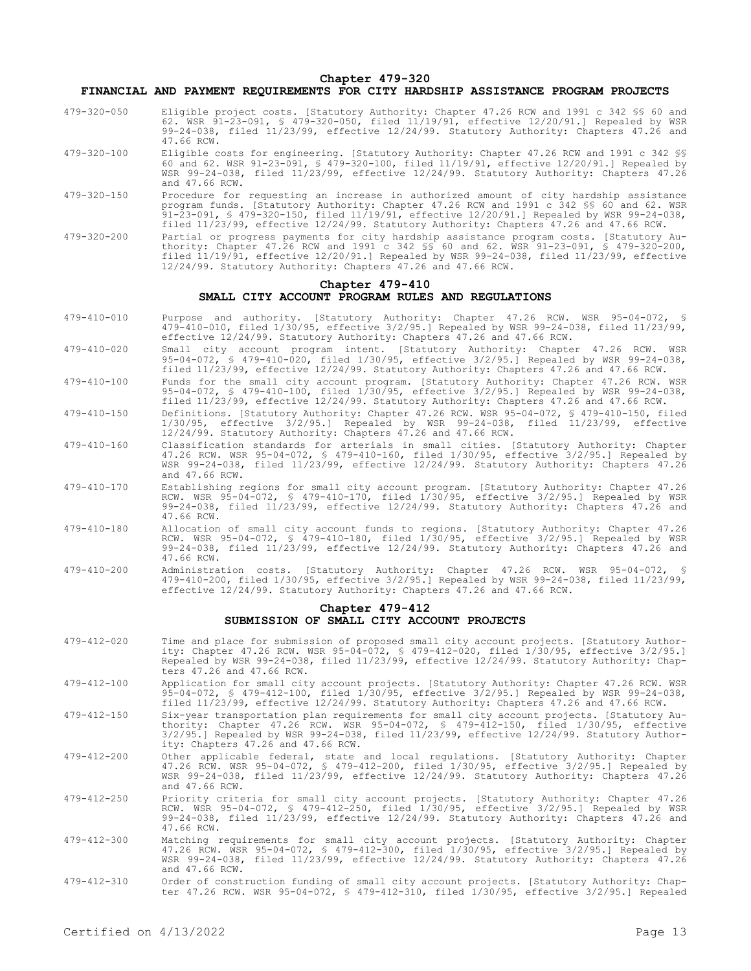#### **Chapter 479-320 FINANCIAL AND PAYMENT REQUIREMENTS FOR CITY HARDSHIP ASSISTANCE PROGRAM PROJECTS**

- 479-320-050 Eligible project costs. [Statutory Authority: Chapter 47.26 RCW and 1991 c 342 §§ 60 and 62. WSR 91-23-091, § 479-320-050, filed 11/19/91, effective 12/20/91.] Repealed by WSR 99-24-038, filed 11/23/99, effective 12/24/99. Statutory Authority: Chapters 47.26 and 47.66 RCW.
- 479-320-100 Eligible costs for engineering. [Statutory Authority: Chapter 47.26 RCW and 1991 c 342 §§ 60 and 62. WSR 91-23-091, § 479-320-100, filed 11/19/91, effective 12/20/91.] Repealed by WSR 99-24-038, filed 11/23/99, effective 12/24/99. Statutory Authority: Chapters 47.26 and 47.66 RCW.
- 479-320-150 Procedure for requesting an increase in authorized amount of city hardship assistance program funds. [Statutory Authority: Chapter 47.26 RCW and 1991 c 342 §§ 60 and 62. WSR 91-23-091, § 479-320-150, filed 11/19/91, effective 12/20/91.] Repealed by WSR 99-24-038, filed 11/23/99, effective 12/24/99. Statutory Authority: Chapters 47.26 and 47.66 RCW.
- 479-320-200 Partial or progress payments for city hardship assistance program costs. [Statutory Authority: Chapter 47.26 RCW and 1991 c 342 §§ 60 and 62. WSR 91-23-091, § 479-320-200, filed 11/19/91, effective 12/20/91.] Repealed by WSR 99-24-038, filed 11/23/99, effective 12/24/99. Statutory Authority: Chapters 47.26 and 47.66 RCW.

## **Chapter 479-410 SMALL CITY ACCOUNT PROGRAM RULES AND REGULATIONS**

- 479-410-010 Purpose and authority. [Statutory Authority: Chapter 47.26 RCW. WSR 95-04-072, § 479-410-010, filed 1/30/95, effective 3/2/95.] Repealed by WSR 99-24-038, filed 11/23/99, effective 12/24/99. Statutory Authority: Chapters 47.26 and 47.66 RCW.
- 479-410-020 Small city account program intent. [Statutory Authority: Chapter 47.26 RCW. WSR 95-04-072, § 479-410-020, filed 1/30/95, effective 3/2/95.] Repealed by WSR 99-24-038, filed 11/23/99, effective 12/24/99. Statutory Authority: Chapters 47.26 and 47.66 RCW.
- 479-410-100 Funds for the small city account program. [Statutory Authority: Chapter 47.26 RCW. WSR 95-04-072, § 479-410-100, filed 1/30/95, effective 3/2/95.] Repealed by WSR 99-24-038, filed 11/23/99, effective 12/24/99. Statutory Authority: Chapters 47.26 and 47.66 RCW.
- 479-410-150 Definitions. [Statutory Authority: Chapter 47.26 RCW. WSR 95-04-072, § 479-410-150, filed 1/30/95, effective 3/2/95.] Repealed by WSR 99-24-038, filed 11/23/99, effective 12/24/99. Statutory Authority: Chapters 47.26 and 47.66 RCW.
- 479-410-160 Classification standards for arterials in small cities. [Statutory Authority: Chapter 47.26 RCW. WSR 95-04-072, § 479-410-160, filed 1/30/95, effective 3/2/95.] Repealed by WSR 99-24-038, filed 11/23/99, effective 12/24/99. Statutory Authority: Chapters 47.26 and 47.66 RCW.
- 479-410-170 Establishing regions for small city account program. [Statutory Authority: Chapter 47.26 RCW. WSR 95-04-072, § 479-410-170, filed 1/30/95, effective 3/2/95.] Repealed by WSR 99-24-038, filed 11/23/99, effective 12/24/99. Statutory Authority: Chapters 47.26 and 47.66 RCW.
- 479-410-180 Allocation of small city account funds to regions. [Statutory Authority: Chapter 47.26 RCW. WSR 95-04-072, § 479-410-180, filed 1/30/95, effective 3/2/95.] Repealed by WSR 99-24-038, filed 11/23/99, effective 12/24/99. Statutory Authority: Chapters 47.26 and 47.66 RCW.
- 479-410-200 Administration costs. [Statutory Authority: Chapter 47.26 RCW. WSR 95-04-072, § 479-410-200, filed 1/30/95, effective 3/2/95.] Repealed by WSR 99-24-038, filed 11/23/99, effective 12/24/99. Statutory Authority: Chapters 47.26 and 47.66 RCW.

## **Chapter 479-412 SUBMISSION OF SMALL CITY ACCOUNT PROJECTS**

- 479-412-020 Time and place for submission of proposed small city account projects. [Statutory Authority: Chapter 47.26 RCW. WSR 95-04-072, § 479-412-020, filed 1/30/95, effective 3/2/95.] Repealed by WSR 99-24-038, filed 11/23/99, effective 12/24/99. Statutory Authority: Chapters 47.26 and 47.66 RCW.
- 479-412-100 Application for small city account projects. [Statutory Authority: Chapter 47.26 RCW. WSR 95-04-072, § 479-412-100, filed 1/30/95, effective 3/2/95.] Repealed by WSR 99-24-038, filed 11/23/99, effective 12/24/99. Statutory Authority: Chapters 47.26 and 47.66 RCW.
- 479-412-150 Six-year transportation plan requirements for small city account projects. [Statutory Authority: Chapter 47.26 RCW. WSR 95-04-072, § 479-412-150, filed 1/30/95, effective 3/2/95.] Repealed by WSR 99-24-038, filed 11/23/99, effective 12/24/99. Statutory Authority: Chapters 47.26 and 47.66 RCW.
- 479-412-200 Other applicable federal, state and local regulations. [Statutory Authority: Chapter 47.26 RCW. WSR 95-04-072, § 479-412-200, filed 1/30/95, effective 3/2/95.] Repealed by WSR 99-24-038, filed 11/23/99, effective 12/24/99. Statutory Authority: Chapters 47.26 and 47.66 RCW.
- 479-412-250 Priority criteria for small city account projects. [Statutory Authority: Chapter 47.26 RCW. WSR 95-04-072, § 479-412-250, filed 1/30/95, effective 3/2/95.] Repealed by WSR 99-24-038, filed 11/23/99, effective 12/24/99. Statutory Authority: Chapters 47.26 and 47.66 RCW.
- 479-412-300 Matching requirements for small city account projects. [Statutory Authority: Chapter 47.26 RCW. WSR 95-04-072, § 479-412-300, filed 1/30/95, effective 3/2/95.] Repealed by WSR 99-24-038, filed 11/23/99, effective 12/24/99. Statutory Authority: Chapters 47.26 and 47.66 RCW.
- 479-412-310 Order of construction funding of small city account projects. [Statutory Authority: Chap-ter 47.26 RCW. WSR 95-04-072, § 479-412-310, filed 1/30/95, effective 3/2/95.] Repealed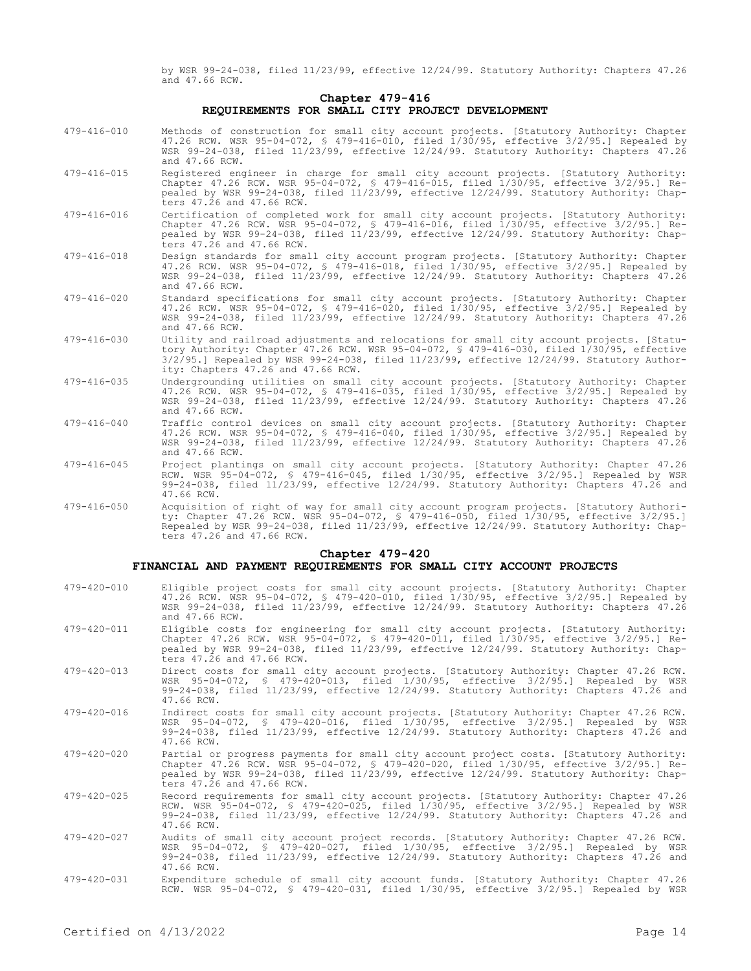by WSR 99-24-038, filed 11/23/99, effective 12/24/99. Statutory Authority: Chapters 47.26 and 47.66 RCW.

## **Chapter 479-416 REQUIREMENTS FOR SMALL CITY PROJECT DEVELOPMENT**

- 479-416-010 Methods of construction for small city account projects. [Statutory Authority: Chapter 47.26 RCW. WSR 95-04-072, § 479-416-010, filed 1/30/95, effective 3/2/95.] Repealed by WSR 99-24-038, filed 11/23/99, effective 12/24/99. Statutory Authority: Chapters 47.26 and 47.66 RCW.
- 479-416-015 Registered engineer in charge for small city account projects. [Statutory Authority: Chapter 47.26 RCW. WSR 95-04-072, § 479-416-015, filed 1/30/95, effective 3/2/95.] Repealed by WSR 99-24-038, filed 11/23/99, effective 12/24/99. Statutory Authority: Chapters  $47.\overline{2}6$  and  $47.66$  RCW.
- 479-416-016 Certification of completed work for small city account projects. [Statutory Authority: Chapter 47.26 RCW. WSR 95-04-072, § 479-416-016, filed 1/30/95, effective 3/2/95.] Repealed by WSR 99-24-038, filed 11/23/99, effective 12/24/99. Statutory Authority: Chapters 47.26 and 47.66 RCW.
- 479-416-018 Design standards for small city account program projects. [Statutory Authority: Chapter 47.26 RCW. WSR 95-04-072, § 479-416-018, filed 1/30/95, effective 3/2/95.] Repealed by WSR 99-24-038, filed 11/23/99, effective 12/24/99. Statutory Authority: Chapters 47.26 and 47.66 RCW.
- 479-416-020 Standard specifications for small city account projects. [Statutory Authority: Chapter 47.26 RCW. WSR 95-04-072, § 479-416-020, filed 1/30/95, effective 3/2/95.] Repealed by WSR 99-24-038, filed 11/23/99, effective 12/24/99. Statutory Authority: Chapters 47.26 and 47.66 RCW.
- 479-416-030 Utility and railroad adjustments and relocations for small city account projects. [Statutory Authority: Chapter 47.26 RCW. WSR 95-04-072, § 479-416-030, filed 1/30/95, effective 3/2/95.] Repealed by WSR 99-24-038, filed 11/23/99, effective 12/24/99. Statutory Authority: Chapters 47.26 and 47.66 RCW.
- 479-416-035 Undergrounding utilities on small city account projects. [Statutory Authority: Chapter 47.26 RCW. WSR 95-04-072, § 479-416-035, filed 1/30/95, effective 3/2/95.] Repealed by WSR 99-24-038, filed 11/23/99, effective 12/24/99. Statutory Authority: Chapters 47.26 and 47.66 RCW.
- 479-416-040 Traffic control devices on small city account projects. [Statutory Authority: Chapter 47.26 RCW. WSR 95-04-072, § 479-416-040, filed 1/30/95, effective 3/2/95.] Repealed by WSR 99-24-038, filed 11/23/99, effective 12/24/99. Statutory Authority: Chapters 47.26 and 47.66 RCW.
- 479-416-045 Project plantings on small city account projects. [Statutory Authority: Chapter 47.26 RCW. WSR 95-04-072, § 479-416-045, filed 1/30/95, effective 3/2/95.] Repealed by WSR 99-24-038, filed 11/23/99, effective 12/24/99. Statutory Authority: Chapters 47.26 and 47.66 RCW.
- 479-416-050 Acquisition of right of way for small city account program projects. [Statutory Authority: Chapter 47.26 RCW. WSR 95-04-072, § 479-416-050, filed 1/30/95, effective 3/2/95.] Repealed by WSR 99-24-038, filed 11/23/99, effective 12/24/99. Statutory Authority: Chapters 47.26 and 47.66 RCW.

#### **Chapter 479-420**

#### **FINANCIAL AND PAYMENT REQUIREMENTS FOR SMALL CITY ACCOUNT PROJECTS**

479-420-010 Eligible project costs for small city account projects. [Statutory Authority: Chapter 47.26 RCW. WSR 95-04-072, § 479-420-010, filed 1/30/95, effective 3/2/95.] Repealed by WSR 99-24-038, filed 11/23/99, effective 12/24/99. Statutory Authority: Chapters 47.26 and 47.66 RCW. 479-420-011 Eligible costs for engineering for small city account projects. [Statutory Authority: Chapter 47.26 RCW. WSR 95-04-072, § 479-420-011, filed 1/30/95, effective 3/2/95.] Repealed by WSR 99-24-038, filed 11/23/99, effective 12/24/99. Statutory Authority: Chapters 47.26 and 47.66 RCW. 479-420-013 Direct costs for small city account projects. [Statutory Authority: Chapter 47.26 RCW. WSR 95-04-072, § 479-420-013, filed 1/30/95, effective 3/2/95.] Repealed by WSR 99-24-038, filed 11/23/99, effective 12/24/99. Statutory Authority: Chapters 47.26 and 47.66 RCW. 479-420-016 Indirect costs for small city account projects. [Statutory Authority: Chapter 47.26 RCW. WSR 95-04-072, § 479-420-016, filed 1/30/95, effective 3/2/95.] Repealed by WSR 99-24-038, filed 11/23/99, effective 12/24/99. Statutory Authority: Chapters 47.26 and 47.66 RCW. 479-420-020 Partial or progress payments for small city account project costs. [Statutory Authority: Chapter 47.26 RCW. WSR 95-04-072, § 479-420-020, filed 1/30/95, effective 3/2/95.] Repealed by WSR 99-24-038, filed 11/23/99, effective 12/24/99. Statutory Authority: Chapters 47.26 and 47.66 RCW. 479-420-025 Record requirements for small city account projects. [Statutory Authority: Chapter 47.26 RCW. WSR 95-04-072, § 479-420-025, filed 1/30/95, effective 3/2/95.] Repealed by WSR 99-24-038, filed 11/23/99, effective 12/24/99. Statutory Authority: Chapters 47.26 and 47.66 RCW. 479-420-027 Audits of small city account project records. [Statutory Authority: Chapter 47.26 RCW. WSR 95-04-072, § 479-420-027, filed 1/30/95, effective 3/2/95.] Repealed by WSR 99-24-038, filed 11/23/99, effective 12/24/99. Statutory Authority: Chapters 47.26 and 47.66 RCW. 479-420-031 Expenditure schedule of small city account funds. [Statutory Authority: Chapter 47.26 RCW. WSR 95-04-072, § 479-420-031, filed 1/30/95, effective 3/2/95.] Repealed by WSR